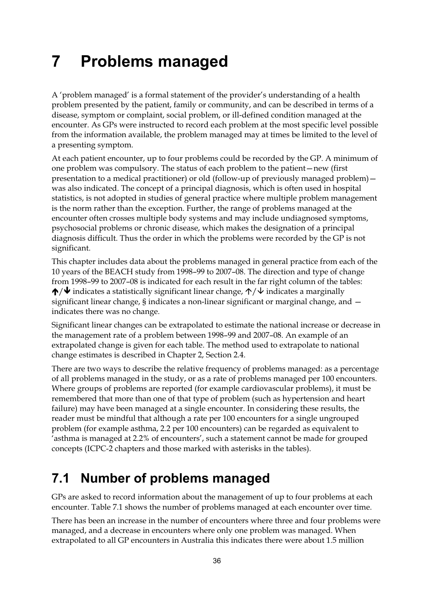# **7 Problems managed**

A 'problem managed' is a formal statement of the provider's understanding of a health problem presented by the patient, family or community, and can be described in terms of a disease, symptom or complaint, social problem, or ill-defined condition managed at the encounter. As GPs were instructed to record each problem at the most specific level possible from the information available, the problem managed may at times be limited to the level of a presenting symptom.

At each patient encounter, up to four problems could be recorded by the GP. A minimum of one problem was compulsory. The status of each problem to the patient—new (first presentation to a medical practitioner) or old (follow-up of previously managed problem) was also indicated. The concept of a principal diagnosis, which is often used in hospital statistics, is not adopted in studies of general practice where multiple problem management is the norm rather than the exception. Further, the range of problems managed at the encounter often crosses multiple body systems and may include undiagnosed symptoms, psychosocial problems or chronic disease, which makes the designation of a principal diagnosis difficult. Thus the order in which the problems were recorded by the GP is not significant.

This chapter includes data about the problems managed in general practice from each of the 10 years of the BEACH study from 1998–99 to 2007–08. The direction and type of change from 1998–99 to 2007–08 is indicated for each result in the far right column of the tables:  $\bigwedge/\bigvee$  indicates a statistically significant linear change,  $\bigwedge/\bigvee$  indicates a marginally significant linear change, § indicates a non-linear significant or marginal change, and indicates there was no change.

Significant linear changes can be extrapolated to estimate the national increase or decrease in the management rate of a problem between 1998–99 and 2007–08. An example of an extrapolated change is given for each table. The method used to extrapolate to national change estimates is described in Chapter 2, Section 2.4.

There are two ways to describe the relative frequency of problems managed: as a percentage of all problems managed in the study, or as a rate of problems managed per 100 encounters. Where groups of problems are reported (for example cardiovascular problems), it must be remembered that more than one of that type of problem (such as hypertension and heart failure) may have been managed at a single encounter. In considering these results, the reader must be mindful that although a rate per 100 encounters for a single ungrouped problem (for example asthma, 2.2 per 100 encounters) can be regarded as equivalent to 'asthma is managed at 2.2% of encounters', such a statement cannot be made for grouped concepts (ICPC-2 chapters and those marked with asterisks in the tables).

#### **7.1 Number of problems managed**

GPs are asked to record information about the management of up to four problems at each encounter. Table 7.1 shows the number of problems managed at each encounter over time.

There has been an increase in the number of encounters where three and four problems were managed, and a decrease in encounters where only one problem was managed. When extrapolated to all GP encounters in Australia this indicates there were about 1.5 million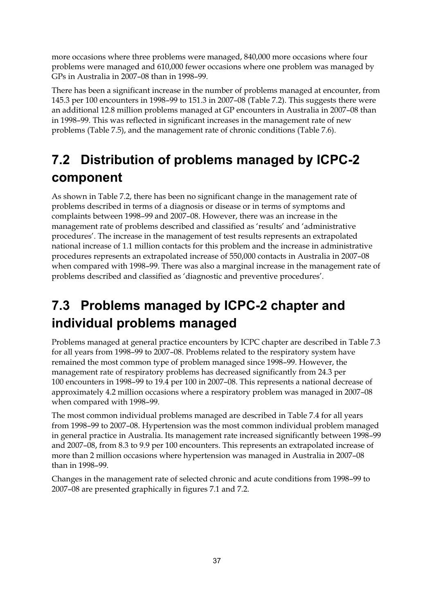more occasions where three problems were managed, 840,000 more occasions where four problems were managed and 610,000 fewer occasions where one problem was managed by GPs in Australia in 2007–08 than in 1998–99.

There has been a significant increase in the number of problems managed at encounter, from 145.3 per 100 encounters in 1998–99 to 151.3 in 2007–08 (Table 7.2). This suggests there were an additional 12.8 million problems managed at GP encounters in Australia in 2007–08 than in 1998–99. This was reflected in significant increases in the management rate of new problems (Table 7.5), and the management rate of chronic conditions (Table 7.6).

## **7.2 Distribution of problems managed by ICPC-2 component**

As shown in Table 7.2, there has been no significant change in the management rate of problems described in terms of a diagnosis or disease or in terms of symptoms and complaints between 1998–99 and 2007–08. However, there was an increase in the management rate of problems described and classified as 'results' and 'administrative procedures'. The increase in the management of test results represents an extrapolated national increase of 1.1 million contacts for this problem and the increase in administrative procedures represents an extrapolated increase of 550,000 contacts in Australia in 2007–08 when compared with 1998–99. There was also a marginal increase in the management rate of problems described and classified as 'diagnostic and preventive procedures'.

## **7.3 Problems managed by ICPC-2 chapter and individual problems managed**

Problems managed at general practice encounters by ICPC chapter are described in Table 7.3 for all years from 1998–99 to 2007–08. Problems related to the respiratory system have remained the most common type of problem managed since 1998–99. However, the management rate of respiratory problems has decreased significantly from 24.3 per 100 encounters in 1998–99 to 19.4 per 100 in 2007–08. This represents a national decrease of approximately 4.2 million occasions where a respiratory problem was managed in 2007–08 when compared with 1998–99.

The most common individual problems managed are described in Table 7.4 for all years from 1998–99 to 2007–08. Hypertension was the most common individual problem managed in general practice in Australia. Its management rate increased significantly between 1998–99 and 2007–08, from 8.3 to 9.9 per 100 encounters. This represents an extrapolated increase of more than 2 million occasions where hypertension was managed in Australia in 2007–08 than in 1998–99.

Changes in the management rate of selected chronic and acute conditions from 1998–99 to 2007–08 are presented graphically in figures 7.1 and 7.2.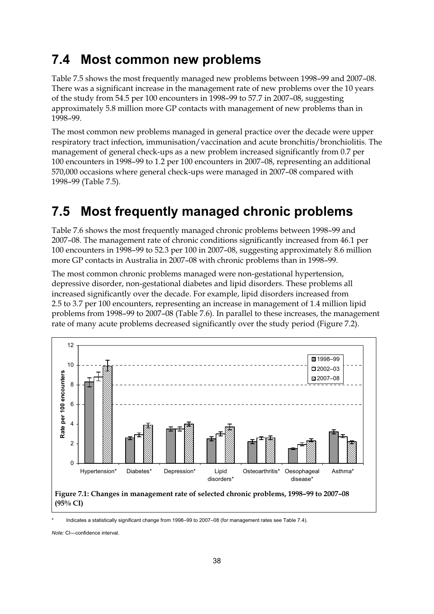#### **7.4 Most common new problems**

Table 7.5 shows the most frequently managed new problems between 1998–99 and 2007–08. There was a significant increase in the management rate of new problems over the 10 years of the study from 54.5 per 100 encounters in 1998–99 to 57.7 in 2007–08, suggesting approximately 5.8 million more GP contacts with management of new problems than in 1998–99.

The most common new problems managed in general practice over the decade were upper respiratory tract infection, immunisation/vaccination and acute bronchitis/bronchiolitis. The management of general check-ups as a new problem increased significantly from 0.7 per 100 encounters in 1998–99 to 1.2 per 100 encounters in 2007–08, representing an additional 570,000 occasions where general check-ups were managed in 2007–08 compared with 1998–99 (Table 7.5).

### **7.5 Most frequently managed chronic problems**

Table 7.6 shows the most frequently managed chronic problems between 1998–99 and 2007–08. The management rate of chronic conditions significantly increased from 46.1 per 100 encounters in 1998–99 to 52.3 per 100 in 2007–08, suggesting approximately 8.6 million more GP contacts in Australia in 2007–08 with chronic problems than in 1998–99.

The most common chronic problems managed were non-gestational hypertension, depressive disorder, non-gestational diabetes and lipid disorders. These problems all increased significantly over the decade. For example, lipid disorders increased from 2.5 to 3.7 per 100 encounters, representing an increase in management of 1.4 million lipid problems from 1998–99 to 2007–08 (Table 7.6). In parallel to these increases, the management rate of many acute problems decreased significantly over the study period (Figure 7.2).



Indicates a statistically significant change from 1998–99 to 2007–08 (for management rates see Table 7.4).

*Note:* CI—confidence interval.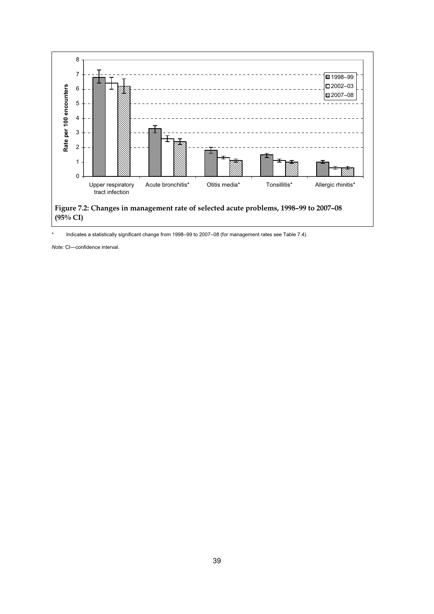

Indicates a statistically significant change from 1998–99 to 2007–08 (for management rates see Table 7.4).

*Note:* CI—confidence interval.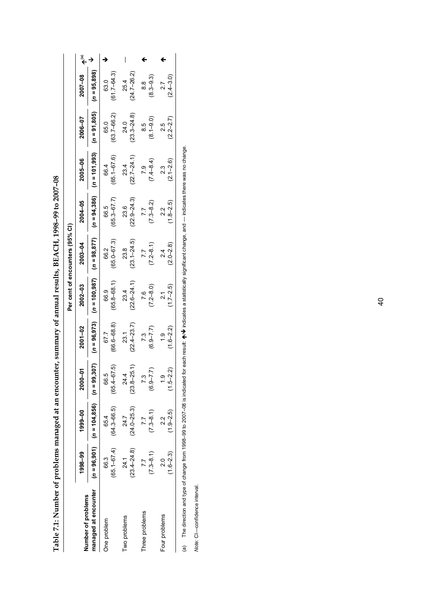| ו<br>ו                       |
|------------------------------|
|                              |
| ֚֘֝                          |
| ֕֕֕֡                         |
| こうしょう しょう うらん しんこうしょ         |
|                              |
|                              |
| クイナクチクス ふくし トリアクラクラクライブ<br>i |
|                              |
|                              |
|                              |
| し そうそうけいさつけん そうよう てうじょうそうそう  |
|                              |
|                              |
|                              |
|                              |
|                              |
|                              |
| ธี<br>มี                     |
| l                            |
|                              |
|                              |
| Ċ                            |

|                      |                                |                                               |                         |                         |                          | Per cent of encounters (95% CI) |                                                                   |                             |                          |                         |  |
|----------------------|--------------------------------|-----------------------------------------------|-------------------------|-------------------------|--------------------------|---------------------------------|-------------------------------------------------------------------|-----------------------------|--------------------------|-------------------------|--|
| Number of problems   | 1998-99                        | 1999-00                                       | ទី<br><b>2000</b>       | $2001 - 02$             | $2002 - 03$              | 2003-04                         | 2004-05                                                           | 2005-06                     | 2006-07                  | 2007-08                 |  |
| managed at encounter |                                | $(n = 96,901)$ $(n = 104,856)$ $(n = 99,307)$ |                         | $(n = 96, 973)$         |                          |                                 | $(n = 100, 987)$ $(n = 98, 877)$ $(n = 94, 386)$ $(n = 101, 993)$ |                             | $(n = 91,805)$           | $(n = 95,898)$          |  |
| One problem          | $(65.1 - 67.4)$<br>66.3        | $(64.3 - 66.5)$<br>65.4                       | $(65.4 - 67.5)$<br>66.5 | 66.6–68.8)<br>67.7      | $(65.8 - 68.1)$<br>66.9  | $(65.0 - 67.3)$<br>66.2         | $(65.3 - 67.7)$<br>66.5                                           | $(65.1 - 67.6)$<br>66.4     | $(63.7 - 66.2)$<br>65.0  | $(61.7 - 64.3)$<br>63.0 |  |
| Two problems         | $(23.4 - 24.8)$<br>24.1        | $(24.0 - 25.3)$<br>24.7                       | $(23.8 - 25.1)$         | $(22.4 - 23.7)$<br>23.1 | $(22.6 - 24.1)$<br>23.4  | $(23.1 - 24.5)$<br>23.8         | $(22.9 - 24.3)$<br>23.6                                           | $(22.7 - 24.1)$<br>23.4     | $(23.3 - 24.8)$<br>24.0  | $(24.7 - 26.2)$<br>25.4 |  |
| hree problems        | $(7.3 - 8.1)$                  | $(7.3 - 8.1)$<br>7.7                          | $(6.9 - 7.7)$           | $(6.9 - 7.7)$<br>7.3    | $(7.2 - 8.0)$<br>7.6     | $7.2 - 8.1$<br>7.7              | $73 - 8.2$<br>7.7                                                 | $(7.4 - 8.4)$<br><b>P.5</b> | $(8.1 - 9.0)$<br>8.5     | $(8.3 - 9.3)$<br>8.8    |  |
| Four problems        | $(1.6 - 2.3)$<br>$\frac{0}{2}$ | $(1.9 - 2.5)$<br>22<br>21                     | $(1.5 - 2.2)$           | $(1.6 - 2.2)$<br>ق<br>- | $(1.7 - 2.5)$<br>ี<br>21 | $(2.0 - 2.8)$<br>$\frac{4}{2}$  | $(1.8 - 2.5)$<br>2.2                                              | $(2.1 - 2.6)$<br>2.3        | $(2.2 - 2.7)$<br>25<br>2 | $(2.4 - 3.0)$<br>2.7    |  |
|                      |                                |                                               |                         |                         |                          |                                 |                                                                   |                             |                          |                         |  |

 $/\blacklozenge$  indicates a statistically significant change, and  $-$  indicates there was no change. (a) The direction and type of change from 1998–99 to 2007–08 is indicated for each result:  $\spadesuit$ 

Note: CI-confidence interval. *Note:* CI—confidence interval.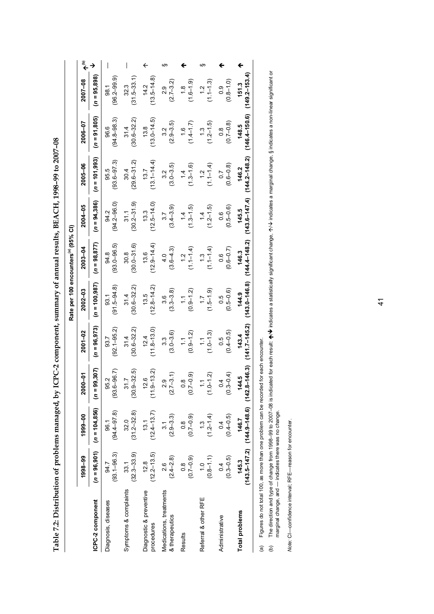| こう まうらく こうこう こうこう こうこう                                                          |
|---------------------------------------------------------------------------------|
|                                                                                 |
|                                                                                 |
|                                                                                 |
|                                                                                 |
|                                                                                 |
|                                                                                 |
|                                                                                 |
| ֖֖֖֖֖֧ׅׅׅׅ֖ׅ֖֧ׅ֪֪֪ׅ֖֧ׅ֪֪ׅ֖֧֪ׅ֪֪֪֪ׅ֖֚֚֚֚֚֚֚֚֚֚֚֚֚֚֚֚֚֚֚֚֚֚֚֚֚֚֚֚֚֚֡֝֝֬֝֬֓֞֝֬֓֞֝֝ |
|                                                                                 |
| ׇ֚֘֝֬                                                                           |
|                                                                                 |
|                                                                                 |
|                                                                                 |
|                                                                                 |
|                                                                                 |
|                                                                                 |
|                                                                                 |
|                                                                                 |
|                                                                                 |
|                                                                                 |
|                                                                                 |
|                                                                                 |
| 一つ アックス せん いしょう うらうりょう                                                          |
|                                                                                 |
|                                                                                 |
|                                                                                 |
|                                                                                 |
|                                                                                 |
|                                                                                 |
|                                                                                 |
|                                                                                 |
|                                                                                 |
|                                                                                 |
|                                                                                 |
|                                                                                 |
|                                                                                 |
|                                                                                 |
|                                                                                 |
|                                                                                 |
|                                                                                 |
|                                                                                 |
| ا<br> <br> }                                                                    |
|                                                                                 |
|                                                                                 |
|                                                                                 |
|                                                                                 |
|                                                                                 |
|                                                                                 |
| i                                                                               |
|                                                                                 |
|                                                                                 |
|                                                                                 |
|                                                                                 |
|                                                                                 |
| ì                                                                               |
| l                                                                               |
|                                                                                 |
| l<br>I                                                                          |
| ׇ֠                                                                              |
|                                                                                 |
| į                                                                               |
|                                                                                 |
|                                                                                 |
|                                                                                 |
|                                                                                 |
|                                                                                 |
| ֖֪֪֪ׅ֚֚֚֚֚֚֚֚֚֚֚֚֚֚֚֚֚֚֚֚֚֚֬֝֝֝֝֝֝֝֝֬֝֝֬֝֝֬֝֬֝֬                                 |
|                                                                                 |
| ı                                                                               |
|                                                                                 |
| '<br> <br>֕                                                                     |

|                                           |                                   |                                                                |                                |                              | Rate per 100 encounters <sup>(a)</sup> (95% CI) |                                   |                                   |                                   |                                |                                |                          |
|-------------------------------------------|-----------------------------------|----------------------------------------------------------------|--------------------------------|------------------------------|-------------------------------------------------|-----------------------------------|-----------------------------------|-----------------------------------|--------------------------------|--------------------------------|--------------------------|
|                                           | 1998-99                           | 1999-00                                                        | 2000-01                        | 2001-02                      | $2002 - 03$                                     | 2003-04                           | 2004-05                           | 2005-06                           | 2006-07                        | 2007-08                        | مّ€                      |
| ICPC-2 component                          | $(n = 96, 901)$                   | $(n = 104, 856)$                                               | $(n = 99, 307)$                | $(n = 96, 973)$              | $(n = 100, 987)$                                | $(n = 98, 877)$                   | $(n = 94,386)$                    | $(n = 101, 993)$                  | $(n = 91, 805)$                | $(n = 95,898)$                 | →                        |
| Diagnosis, diseases                       | $(93.1 - 96.3)$<br>94.7           | $(94.4 - 97.8)$<br>96.1                                        | $(93.6 - 96.7)$<br>95.2        | $(92.1 - 95.2)$<br>93.7      | $(91.5 - 94.8)$<br>93.1                         | $(93.0 - 96.5)$<br>94.8           | $(94.2 - 96.0)$<br>94.2           | $(93.6 - 97.3)$<br>95.5           | $(94.8 - 98.3)$<br>96.6        | $(96.2 - 99.9)$<br>98.1        | $\overline{\phantom{a}}$ |
| Symptoms & complaints                     | $(32.3 - 33.9)$<br>33.1           | $(31.2 - 32.8)$<br>32.0                                        | $(30.9 - 32.5)$<br>31.7        | $(30.6 - 32.2)$<br>31.4      | $(30.6 - 32.2)$<br>31.4                         | $(30.0 - 31.6)$<br>30.8           | $(30.2 - 31.9)$<br>31.1           | $(29.6 - 31.2)$<br>30.4           | $(30.6 - 32.2)$<br>31.4        | $(31.5 - 33.1)$<br>32.3        |                          |
| Diagnostic & preventive<br>procedures     | $(12.2 - 13.5)$<br>12.8           | $(12.4 - 13.7)$<br>13.1                                        | $(11.9 - 13.2)$<br>12.6        | $(11.8 - 13.0)$<br>12.4      | $(12.8 - 14.2)$<br>13.5                         | $(12.9 - 14.4)$<br>13.6           | $(12.5 - 14.0)$<br>13.3           | $(13.1 - 14.4)$<br>13.7           | $(13.0 - 14.5)$<br>13.8        | $(13.5 - 14.8)$<br>14.2        | $\overline{\mathbf{z}}$  |
| Medications, treatments<br>& therapeutics | $(2.4 - 2.8)$<br>2.6              | $(2.9 - 3.3)$<br>$\overline{3.1}$                              | $(2.7 - 3.1)$<br>2.9           | $(3.0 - 3.6)$<br>3.3         | $(3.3 - 3.8)$<br>3.6                            | $(3.6 - 4.3)$<br>4.0              | $(3.4 - 3.9)$<br>$\overline{3.7}$ | $(3.0 - 3.5)$<br>3.2              | $(2.9 - 3.5)$<br>3.2           | $(2.7 - 3.2)$<br>$\frac{9}{2}$ | ဟ                        |
| Results                                   | $(0.7 - 0.9)$<br>$0.\overline{8}$ | $(0.7 - 0.9)$<br>$\frac{8}{1}$                                 | $(0.7 - 0.9)$<br>$\frac{8}{1}$ | $(0.9 - 1.2)$<br>$\tilde{c}$ | $(0.9 - 1.2)$<br>$\frac{1}{2}$                  | $(1.1 - 1.4)$<br>1.2              | $(1.3 - 1.5)$<br>14               | $(1.3 - 1.6)$<br>1.4              | $(1.4 - 1.7)$<br>$\frac{6}{1}$ | $(1.6 - 1.9)$<br>$\frac{8}{1}$ |                          |
| Referral & other RFE                      | $(0.8 - 1.1)$<br>$\frac{10}{10}$  | $(1.2 - 1.4)$<br>$\ddot{.}$                                    | $(1.0 - 1.2)$                  | $(1.0 - 1.3)$<br>$\tilde{=}$ | $(1.5 - 1.9)$<br>$\ddot{ }$ :                   | $(1.1 - 1.4)$<br>$\ddot{.}3$      | $(1.2 - 1.5)$<br>$\frac{4}{1}$    | $(1.1 - 1.4)$<br>$\frac{1}{2}$    | $(1.2 - 1.5)$<br>$\ddot{.}3$   | $(1.1 - 1.3)$<br>$\frac{1}{2}$ |                          |
| Administrative                            | $(0.3 - 0.5)$<br>0.4              | $(0.4 - 0.5)$<br>0.4                                           | $(0.3 - 0.4)$<br>0.4           | $(0.4 - 0.5)$<br>0.5         | $(0.5 - 0.6)$<br>0.5                            | $(0.6 - 0.7)$<br>$0.\overline{0}$ | $(0.5 - 0.6)$<br>0.6              | $(0.6 - 0.8)$<br>$\overline{0.7}$ | $(0.7 - 0.8)$<br>$\frac{8}{1}$ | $(0.8 - 1.0)$<br>0.9           |                          |
| <b>Total problems</b>                     | 145.3                             | $(143.5 - 147.2)$ $(144.9 - 148.6)$ $(142.8 - 146.3)$<br>146.7 | 144.5                          | $(141.7 - 145.2)$<br>143.4   | $(143.0 - 146.8)$<br>144.9                      | $(144.4 - 148.2)$<br>146.3        | $(143.6 - 147.4)$<br>145.5        | $(144.2 - 148.2)$<br>146.2        | $(146.4 - 150.6)$<br>148.5     | $(149.2 - 153.4)$<br>151.3     |                          |
|                                           |                                   |                                                                |                                |                              |                                                 |                                   |                                   |                                   |                                |                                |                          |

(a) Figures do not total 100, as more than one problem can be recorded for each encounter.

The direction and type of change from 1998–99 to 2007–08 is indicated for each result: ♠/♥ indicates a statistically significant change, 个/↓ indicates a marginal change, § indicates a non-linear significant or<br>marginal ch  $\bm{\psi}$  indicates a statistically significant change,  $\bm{\gamma}\bm{\vee}$  indicates a marginal change, § indicates a non-linear significant or (a) Figures do not total 100, as more than one problem can be recorded for each encounter.<br>(b) The direction and type of change from 1998–99 to 2007–08 is indicated for each result: ♦/ (b) The direction and type of change from 1998–99 to 2007–08 is indicated for each result:  $\spadesuit$ marginal change, and — indicates there was no change.

Note: CI-confidence interval; RFE-reason for encounter. *Note:* CI—confidence interval; RFE—reason for encounter.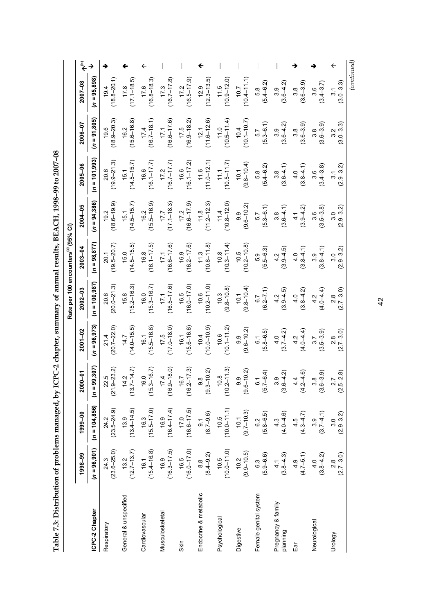| <b>CONTROL SECTION FOR THE SECTION FOR</b>     |
|------------------------------------------------|
| ו<br>ו                                         |
|                                                |
| ı                                              |
| ֖֧֧ׅׅ֧֧֧֚֚֚֚֚֚֚֚֚֚֚֚֚֚֚֚֚֚֚֚֚֚֚֬֝֓֡֜֓֡֬֓֡֓֝֬֝֓ |
|                                                |
|                                                |
|                                                |
|                                                |
|                                                |
|                                                |
|                                                |
|                                                |
|                                                |
| <b>Contract of Section</b>                     |
| l<br>F                                         |
|                                                |
| l                                              |
| ľ<br>$\overline{\phantom{a}}$                  |
|                                                |
|                                                |
|                                                |
| .<br>.<br>.                                    |
|                                                |
|                                                |
|                                                |
| a p<br>l                                       |
|                                                |
|                                                |
|                                                |
| l<br>.                                         |
|                                                |
|                                                |
| l                                              |

| مٌ€<br>→<br>$\leftarrow$<br>$(n = 95,898)$<br>$11.5$<br>$(10.9-12.0)$<br>$(18.8 - 20.1)$<br>$17.8$<br>$(17.1-18.5)$<br>$17.2$<br>(16.5–17.9)<br>$(12.3 - 13.5)$<br>$(10.4 - 11.1)$<br>$(16.8 - 18.3)$<br>$(16.7 - 17.8)$<br>$2007 - 08$<br>$(5.4 - 6.2)$<br>$(3.6 - 4.2)$<br>$3.8$<br>$(3.6 - 3.9)$<br>$(3.0 - 3.3)$<br>$3.6$<br>(3.4–3.7)<br>17.6<br>19.4<br>17.3<br>10.7<br>5.8<br>3.9<br>3.1<br>$(n = 91, 805)$<br>$(10.5 - 11.4)$<br>$(18.9 - 20.3)$<br>$(15.6 - 16.8)$<br>$(16.7 - 18.1)$<br>$(16.6 - 17.6)$<br>$17.5$<br>(16.9–18.2)<br>$12.1$<br>(11.6–12.6)<br>$(10.1 - 10.7)$<br>$\begin{array}{c} 5.7 \\ (5.3 - 6.1) \end{array}$<br>2006-07<br>$3.9$<br>$(3.6-4.2)$<br>$3.8$<br>$(3.6-3.9)$<br>$3.8$<br>$(3.6 - 3.9)$<br>$(3.0 - 3.3)$<br>10.4<br>16.2<br>17.4<br>17.1<br>3.2<br>$(n = 101,993)$<br>$20.6$<br>(19.9–21.3)<br>$11.6$<br>$(11.0-12.1)$<br>$11.1$<br>(10.5–11.7)<br>$(14.5 - 15.7)$<br>$17.2$<br>(16.7–17.7)<br>$16.6$<br>$(16.1 - 17.2)$<br>$(16.1 - 17.7)$<br>$10.1$<br>$(9.8 - 10.4)$<br>$2005 - 06$<br>$5.8$<br>$(5.4 - 6.2)$<br>$(3.8-4.1)$<br>$3.6$<br>$(3.4 - 3.8)$<br>$(2.9 - 3.2)$<br>$(3.6-4.1)$<br>15.1<br>$(n = 94, 386)$<br>$(18.6 - 19.9)$<br>$(17.1 - 18.3)$<br>$11.4$<br>$(10.8-12.0)$<br>$(14.5 - 15.7)$<br>$(15.5 - 16.9)$<br>$17.2$<br>(16.6–17.9)<br>$(11.2 - 12.3)$<br>$\begin{array}{c} 9.9 \\ (9.6 - 10.2) \end{array}$<br>2004-05<br>$\begin{array}{c} 5.7 \\ (5.3 - 6.1) \end{array}$<br>$(3.9 - 4.2)$<br>$3.8$<br>(3.6–4.1)<br>$(3.5 - 3.8)$<br>$(2.9 - 3.2)$<br>1.7<br>16.2<br>15.1<br>4.1<br>3.0<br>$(n = 98, 877)$<br>$(14.5 - 15.5)$<br>$17.1$<br>(16.6–17.6)<br>$16.9$<br>$(16.2-17.6)$<br>$20.1$<br>(19.5–20.7)<br>$16.8$<br>$(16.1 - 17.5)$<br>$(10.8 - 11.8)$<br>$(10.3 - 11.4)$<br>$10.5$<br>$(10.2-10.8)$<br>$2003 - 04$<br>$5.9$<br>$(5.5-6.3)$<br>$4.2$<br>(3.9–4.5)<br>$4.0$<br>(3.8–4.1)<br>$(3.8-4.1)$<br>$(2.9 - 3.2)$<br>15.0<br>3.0<br>$(n = 100, 987)$<br>$20.6$<br>(20.0-21.3)<br>$(16.5 - 17.6)$<br>$(15.2 - 16.3)$<br>$(15.3 - 16.7)$<br>$16.5$<br>$(16.0 - 17.0)$<br>$(10.2 - 11.0)$<br>$(9.8-10.8)$<br>$(9.8 - 10.1)$<br>$2002 - 03$<br>$4.2$<br>(3.9–4.5)<br>$4.0$<br>(3.8–4.2)<br>$(2.7 - 3.0)$<br>$6.7$<br>(6.2–7.1)<br>$4.2$<br>$(4.0-4.4)$<br>16.0<br>15.8<br>17.1<br>$(n = 96, 973)$<br>$21.4$<br>(20.7–22.0)<br>$(14.0 - 15.5)$<br>$17.5$<br>(17.0–18.0)<br>$16.1$<br>$(15.6-16.6)$<br>$(10.0-10.9)$<br>$16.1$<br>$(15.5-16.8)$<br>$10.6$<br>$(10.1-11.2)$<br>$9.9$<br>$(9.6 - 10.2)$<br>$2001 - 02$<br>$6.1$<br>$(5.8 - 6.5)$<br>$(4.0 - 4.4)$<br>$(3.5-3.9)$<br>$4.0$<br>(3.7–4.2)<br>$(2.7 - 3.0)$<br>14.7<br>4.2<br>$-4.6$ |                                                                                                                                |                       |  | Rate per 100 encounters <sup>(a)</sup> (95% CI) |  |  |  |
|-----------------------------------------------------------------------------------------------------------------------------------------------------------------------------------------------------------------------------------------------------------------------------------------------------------------------------------------------------------------------------------------------------------------------------------------------------------------------------------------------------------------------------------------------------------------------------------------------------------------------------------------------------------------------------------------------------------------------------------------------------------------------------------------------------------------------------------------------------------------------------------------------------------------------------------------------------------------------------------------------------------------------------------------------------------------------------------------------------------------------------------------------------------------------------------------------------------------------------------------------------------------------------------------------------------------------------------------------------------------------------------------------------------------------------------------------------------------------------------------------------------------------------------------------------------------------------------------------------------------------------------------------------------------------------------------------------------------------------------------------------------------------------------------------------------------------------------------------------------------------------------------------------------------------------------------------------------------------------------------------------------------------------------------------------------------------------------------------------------------------------------------------------------------------------------------------------------------------------------------------------------------------------------------------------------------------------------------------------------------------------------------------------------------------------------------------------------------------------------------------------------------------------------------------------------------------------------------------------------------|--------------------------------------------------------------------------------------------------------------------------------|-----------------------|--|-------------------------------------------------|--|--|--|
|                                                                                                                                                                                                                                                                                                                                                                                                                                                                                                                                                                                                                                                                                                                                                                                                                                                                                                                                                                                                                                                                                                                                                                                                                                                                                                                                                                                                                                                                                                                                                                                                                                                                                                                                                                                                                                                                                                                                                                                                                                                                                                                                                                                                                                                                                                                                                                                                                                                                                                                                                                                                                 | 1999-00<br>1998-99                                                                                                             | $2000 - 01$           |  |                                                 |  |  |  |
|                                                                                                                                                                                                                                                                                                                                                                                                                                                                                                                                                                                                                                                                                                                                                                                                                                                                                                                                                                                                                                                                                                                                                                                                                                                                                                                                                                                                                                                                                                                                                                                                                                                                                                                                                                                                                                                                                                                                                                                                                                                                                                                                                                                                                                                                                                                                                                                                                                                                                                                                                                                                                 | $(n = 104, 856)$<br>$(n = 96, 901)$                                                                                            | $(n = 99, 307)$       |  |                                                 |  |  |  |
|                                                                                                                                                                                                                                                                                                                                                                                                                                                                                                                                                                                                                                                                                                                                                                                                                                                                                                                                                                                                                                                                                                                                                                                                                                                                                                                                                                                                                                                                                                                                                                                                                                                                                                                                                                                                                                                                                                                                                                                                                                                                                                                                                                                                                                                                                                                                                                                                                                                                                                                                                                                                                 | $24.3$<br>$(23.6-25.0)$                                                                                                        | $22.5$<br>(21.9–23.2) |  |                                                 |  |  |  |
|                                                                                                                                                                                                                                                                                                                                                                                                                                                                                                                                                                                                                                                                                                                                                                                                                                                                                                                                                                                                                                                                                                                                                                                                                                                                                                                                                                                                                                                                                                                                                                                                                                                                                                                                                                                                                                                                                                                                                                                                                                                                                                                                                                                                                                                                                                                                                                                                                                                                                                                                                                                                                 | $24.2$<br>(23.5–24.9)<br>13.9<br>13.4–14.5)<br>$13.2$<br>$(12.7-13.7)$                                                         | $14.2$<br>(13.7–14.7) |  |                                                 |  |  |  |
|                                                                                                                                                                                                                                                                                                                                                                                                                                                                                                                                                                                                                                                                                                                                                                                                                                                                                                                                                                                                                                                                                                                                                                                                                                                                                                                                                                                                                                                                                                                                                                                                                                                                                                                                                                                                                                                                                                                                                                                                                                                                                                                                                                                                                                                                                                                                                                                                                                                                                                                                                                                                                 | $16.3$<br>$(15.5-17.0)$<br>$16.1$<br>$(15.4 - 16.8)$                                                                           | $(15.3 - 16.7)$       |  |                                                 |  |  |  |
|                                                                                                                                                                                                                                                                                                                                                                                                                                                                                                                                                                                                                                                                                                                                                                                                                                                                                                                                                                                                                                                                                                                                                                                                                                                                                                                                                                                                                                                                                                                                                                                                                                                                                                                                                                                                                                                                                                                                                                                                                                                                                                                                                                                                                                                                                                                                                                                                                                                                                                                                                                                                                 | $16.9$<br>$(16.4-17.4)$<br>$(16.3 - 17.5)$                                                                                     | $(16.9 - 18.0)$       |  |                                                 |  |  |  |
|                                                                                                                                                                                                                                                                                                                                                                                                                                                                                                                                                                                                                                                                                                                                                                                                                                                                                                                                                                                                                                                                                                                                                                                                                                                                                                                                                                                                                                                                                                                                                                                                                                                                                                                                                                                                                                                                                                                                                                                                                                                                                                                                                                                                                                                                                                                                                                                                                                                                                                                                                                                                                 | $(16.6 - 17.5)$<br>$16.5$<br>(16.0–17.0)                                                                                       | $16.7$<br>(16.2–17.3) |  |                                                 |  |  |  |
|                                                                                                                                                                                                                                                                                                                                                                                                                                                                                                                                                                                                                                                                                                                                                                                                                                                                                                                                                                                                                                                                                                                                                                                                                                                                                                                                                                                                                                                                                                                                                                                                                                                                                                                                                                                                                                                                                                                                                                                                                                                                                                                                                                                                                                                                                                                                                                                                                                                                                                                                                                                                                 | $\begin{array}{c} 9.8 \\ (9.3 - 10.2) \end{array}$<br>$\begin{array}{c} 8.8 \\ (8.4 - 9.2) \end{array}$                        |                       |  |                                                 |  |  |  |
|                                                                                                                                                                                                                                                                                                                                                                                                                                                                                                                                                                                                                                                                                                                                                                                                                                                                                                                                                                                                                                                                                                                                                                                                                                                                                                                                                                                                                                                                                                                                                                                                                                                                                                                                                                                                                                                                                                                                                                                                                                                                                                                                                                                                                                                                                                                                                                                                                                                                                                                                                                                                                 | $10.8$<br>$(10.2 - 11.3)$<br>$\begin{array}{c} 9.1 \\ (8.7-9.6) \\ 10.5 \\ (10.0-11.1) \end{array}$<br>$10.5$<br>$(10.0-11.0)$ |                       |  |                                                 |  |  |  |
|                                                                                                                                                                                                                                                                                                                                                                                                                                                                                                                                                                                                                                                                                                                                                                                                                                                                                                                                                                                                                                                                                                                                                                                                                                                                                                                                                                                                                                                                                                                                                                                                                                                                                                                                                                                                                                                                                                                                                                                                                                                                                                                                                                                                                                                                                                                                                                                                                                                                                                                                                                                                                 | $9.9$<br>$(9.6 - 10.2)$<br>$10.1$<br>(9.7–10.3)                                                                                |                       |  |                                                 |  |  |  |
|                                                                                                                                                                                                                                                                                                                                                                                                                                                                                                                                                                                                                                                                                                                                                                                                                                                                                                                                                                                                                                                                                                                                                                                                                                                                                                                                                                                                                                                                                                                                                                                                                                                                                                                                                                                                                                                                                                                                                                                                                                                                                                                                                                                                                                                                                                                                                                                                                                                                                                                                                                                                                 | $6.1$<br>(5.7–6.4)<br>$(5.8 - 6.5)$<br>$(5.8 - 6.5)$<br>$(4.0 - 4.6)$<br>$(9.9-10.5)$<br>$(6.3$<br>$(5.9-6.6)$                 |                       |  |                                                 |  |  |  |
|                                                                                                                                                                                                                                                                                                                                                                                                                                                                                                                                                                                                                                                                                                                                                                                                                                                                                                                                                                                                                                                                                                                                                                                                                                                                                                                                                                                                                                                                                                                                                                                                                                                                                                                                                                                                                                                                                                                                                                                                                                                                                                                                                                                                                                                                                                                                                                                                                                                                                                                                                                                                                 | $(3.6 - 4.2)$<br>$(3.8 - 4.3)$                                                                                                 |                       |  |                                                 |  |  |  |
|                                                                                                                                                                                                                                                                                                                                                                                                                                                                                                                                                                                                                                                                                                                                                                                                                                                                                                                                                                                                                                                                                                                                                                                                                                                                                                                                                                                                                                                                                                                                                                                                                                                                                                                                                                                                                                                                                                                                                                                                                                                                                                                                                                                                                                                                                                                                                                                                                                                                                                                                                                                                                 | $\vec{4}$<br>(4.2)<br>$4.5$<br>$(4.3-4.7)$<br>$(4.7-5.1)$                                                                      |                       |  |                                                 |  |  |  |
|                                                                                                                                                                                                                                                                                                                                                                                                                                                                                                                                                                                                                                                                                                                                                                                                                                                                                                                                                                                                                                                                                                                                                                                                                                                                                                                                                                                                                                                                                                                                                                                                                                                                                                                                                                                                                                                                                                                                                                                                                                                                                                                                                                                                                                                                                                                                                                                                                                                                                                                                                                                                                 | ా అ<br>ల<br>$(3.7 - 4.1)$<br>$40$<br>(3.8–4.2)                                                                                 | 8.8<br>- 3.91         |  |                                                 |  |  |  |
|                                                                                                                                                                                                                                                                                                                                                                                                                                                                                                                                                                                                                                                                                                                                                                                                                                                                                                                                                                                                                                                                                                                                                                                                                                                                                                                                                                                                                                                                                                                                                                                                                                                                                                                                                                                                                                                                                                                                                                                                                                                                                                                                                                                                                                                                                                                                                                                                                                                                                                                                                                                                                 | $(2.5 - 2.8)$<br>2.7<br>$(2.9 - 3.2)$<br>3.0<br>$(2.7 - 3.0)$<br>$\frac{8}{2}$                                                 |                       |  |                                                 |  |  |  |

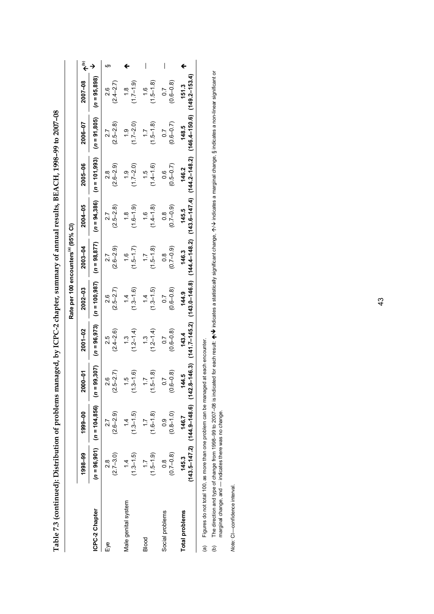|                       |                                 |                                                                                  |                    |                                   | Rate per 100 encounters <sup>(a)</sup> (95% CI) |                                |                                |                                |                                 |                                |    |
|-----------------------|---------------------------------|----------------------------------------------------------------------------------|--------------------|-----------------------------------|-------------------------------------------------|--------------------------------|--------------------------------|--------------------------------|---------------------------------|--------------------------------|----|
|                       | 1998-99                         | 1999-00                                                                          | $2000 - 01$        | 2001-02                           | 2002-03                                         | $2003 - 04$                    | 2004-05                        | 2005-06                        | 2006-07                         | 2007-08                        | €ِ |
| ICPC-2 Chapter        |                                 | $(n = 96,901)$ $(n = 104,856)$ $(n = 9$                                          | 9,307              | $(n = 96, 973)$                   | $(n = 100, 987)$                                | $(n = 98, 877)$                | $(n = 94, 386)$                | $(n = 101, 993)$               | $(n = 91, 805)$                 | $(n = 95, 898)$                |    |
| Еyе                   | $(2.7 - 3.0)$<br>8.S            | $(2.6 - 2.9)$<br>$\overline{27}$                                                 | $(2.5 - 2.7)$<br>ဖ | $(2.4 - 2.6)$<br>25               | $(2.5 - 2.7)$<br>2.6                            | $(2.6 - 2.9)$<br>27            | $(2.5 - 2.8)$<br>27            | $(2.6 - 2.9)$<br>$\frac{8}{2}$ | $(2.5 - 2.8)$<br>27             | $(2.4 - 2.7)$<br>$\frac{8}{2}$ | တ  |
| Male genital system   | $(1.3 - 1.5)$<br>$\overline{4}$ | $(1.3 - 1.5)$                                                                    | $(1.3 - 1.6)$      | $(1.2 - 1.4)$                     | $(1.3 - 1.6)$<br>$\frac{4}{1}$                  | $(1.5 - 1.7)$<br>$\frac{6}{1}$ | $(1.6 - 1.9)$<br>$\frac{8}{1}$ | $(1.7 - 2.0)$<br>$\frac{1}{1}$ | $(1.7 - 2.0)$<br>$\frac{0}{1}$  | $(1.7 - 1.9)$<br>$\frac{8}{1}$ |    |
| Blood                 | $(1.5-1.9)$<br>$\ddot{ }$       | $(1.6 - 1.8)$<br>$\ddot{ }$ :                                                    | $(1.5 - 1.8)$      | $(1.2 - 1.4)$<br>$\frac{1}{2}$    | $(1.3 - 1.5)$<br>$\dot{4}$                      | $(1.5 - 1.8)$<br>$\ddot{ }$ :  | $(1.4 - 1.8)$<br>$\frac{6}{1}$ | $(1.4 - 1.6)$<br>$-1.5$        | $(1.5 - 1.8)$<br>$\ddot{ }$ :   | $(1.5 - 1.8)$<br>$\frac{6}{1}$ | I  |
| Social problems       | $(0.7 - 0.8)$<br>$\frac{8}{1}$  | $(0.8 - 1.0)$<br>0.9                                                             | $(0.6 - 0.8)$      | $(0.6 - 0.8)$<br>$\overline{0}$ . | $(0.6 - 0.8)$<br>$\overline{0}$                 | $(0.7 - 0.9)$<br>$\frac{8}{2}$ | $(0.7 - 0.9)$<br>0.8           | $(0.5 - 0.7)$<br>0.6           | $(0.6 - 0.7)$<br>$\overline{0}$ | $(0.6 - 0.8)$<br>0.7           | I  |
| <b>Total problems</b> | 145.3                           | $(143.5 - 147.2)$ $(144.9 - 148.6)$ $(142.8 - 146.3)$ $(141.7 - 145.2)$<br>146.7 |                    | 143.4                             | $(143.0 - 146.8)$<br>144.9                      | $(144.4 - 148.2)$<br>146.3     | $(143.6 - 147.4)$<br>145.5     | $(144.2 - 148.2)$<br>146.2     | $(146.4 - 150.6)$<br>148.5      | $(149.2 - 153.4)$<br>151.3     |    |

Table 7.3 (continued): Distribution of problems managed, by ICPC-2 chapter, summary of annual results, BEACH, 1998-99 to 2007-08 **Table 7.3 (continued): Distribution of problems managed, by ICPC-2 chapter, summary of annual results, BEACH, 1998–99 to 2007–08**

Figures do not total 100, as more than one problem can be managed at each encounter. (a) Figures do not total 100, as more than one problem can be managed at each encounter.

The direction and type of change from 1998–99 to 2007–08 is indicated for each result: ♠/♦ indicates a statistically significant change, 个/♦ indicates a marginal change, § indicates a non-linear significant or<br>marginal ch  $\bm{\psi}$  indicates a statistically significant change,  $\bm{\gamma} \bm{\vee}$  indicates a marginal change, § indicates a non-linear significant or (b) The direction and type of change from 1998–99 to 2007–08 is indicated for each result:  $\spadesuit$ marginal change, and — indicates there was no change.  $\begin{pmatrix} 0 \\ 0 \end{pmatrix}$ 

Note: CI-confidence interval. *Note:* CI—confidence interval.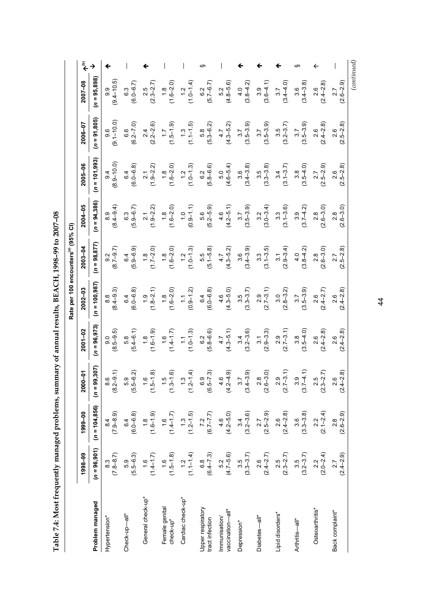| ڊ<br>ا<br>Ļ<br>I<br>.<br>.<br>.<br>.<br>i<br>I<br>י<br> <br> <br>ļ<br>l<br>l<br>l<br>I |  |
|----------------------------------------------------------------------------------------|--|
|                                                                                        |  |
| I                                                                                      |  |
| $\frac{1}{3}$<br>I<br>Ī                                                                |  |

|                                      |                                                   |                        |                                                   |                                                   | Rate per 100 encounters(a) (95% CI)             |                                                    |                                               |                                                   |                                                   |                                                 |                              |
|--------------------------------------|---------------------------------------------------|------------------------|---------------------------------------------------|---------------------------------------------------|-------------------------------------------------|----------------------------------------------------|-----------------------------------------------|---------------------------------------------------|---------------------------------------------------|-------------------------------------------------|------------------------------|
|                                      | 1998-99                                           | 1999-00                | $2000 - 01$                                       | $2001 - 02$                                       | $2002 - 03$                                     | $2003 - 04$                                        | 2004-05                                       | 2005-06                                           | 2006-07                                           | 2007-08                                         | $\widehat{\tilde{\epsilon}}$ |
| Problem managed                      | $(n = 96, 901)$                                   | $(n = 104, 856)$       | $(n = 99, 307)$                                   | $(n = 96, 973)$                                   | $(n = 100, 987)$                                | $(n = 98, 877)$                                    | $(n = 94, 386)$                               | $(n = 101,993)$                                   | $(n = 91, 805)$                                   | $(n = 95,898)$                                  |                              |
| Hypertension*                        | $(78-8.7)$                                        | $(7.9 - 8.9)$          | $\begin{array}{c} 8.6 \\ (8.2 - 9.1) \end{array}$ | $(8.5 - 9.5)$                                     | $(8.4 - 9.3)$                                   | $(8.7 - 9.7)$                                      | $(8.4 - 9.4)$                                 | $(8.9 - 10.0)$                                    | $9.6$<br>$(9.1 - 10.0)$                           | $(9.4 - 10.5)$                                  |                              |
| Check-up-all*                        | $(5.9 - 6.3)$                                     | $6.4$<br>$(6.0 - 6.8)$ | $(5.9 - 6.2)$                                     | $5.8$<br>(5.4–6.1)                                | $6.4$<br>$(6.0 - 6.8)$                          | $6.4$<br>(5.9–6.9)                                 | $(5.9 - 6.7)$                                 | $6.4$<br>( $6.0-6.8$ )                            | $6.6$<br>$(6.2 - 7.0)$                            | $6.3$<br>$(6.0 - 6.7)$                          |                              |
| General check-up*                    | $(1.4-1.7)$                                       | $(1.8$<br>(1.6–1.9)    | $(1.5 - 1.8)$                                     | $(1.6 - 1.9)$                                     | $(1.8-2.1)$                                     | $(1.7 - 2.0)$                                      | $(1.9 - 2.2)$                                 | $2.1$<br>(1.9–2.2)                                | $(2.2 - 2.6)$                                     | $2.5$<br>(2.3–2.7)                              |                              |
| Female genital<br>check-up*          | $(1.5 - 1.8)$                                     | $(14-1.7)$             | $(1.5$<br>$(1.3-1.6)$                             | $(1.6$<br>$(1.4-1.7)$                             | $(1.6 - 2.0)$                                   | $1, 8$<br>$1.6 - 2.0$                              | $(1.8$<br>$(1.6 - 2.0)$                       | $(1.8$<br>$(1.6 - 2.0)$                           | $(1.5 - 1.9)$                                     | $(1.6 - 2.0)$                                   |                              |
| Cardiac check-up*                    | $(1.1 - 1.4)$                                     | $(1.3$<br>$(1.2-1.5)$  | $(1.3$<br>$(1.2-1.4)$                             | $(1.0 - 1.3)$                                     | $(0.9 - 1.2)$                                   | $(1.0-1.3)$                                        | $(0.9 - 1.1)$                                 | $(1.0 - 1.3)$                                     | $(1.1 - 1.5)$                                     | $(1.0-1.4)$                                     |                              |
| Upper respiratory<br>tract infection | $6.8$<br>(6.4–7.3)                                | $7.2$<br>(6.7–7.7)     | $6.9$<br>$(6.5 - 7.3)$                            | $6.2$<br>$(5.8 - 6.6)$                            | $6.4$<br>(6.0–6.8)                              |                                                    | $(5.2 - 5.9)$                                 | $6.2$<br>$(5.8 - 6.6)$                            | $\begin{array}{c} 5.8 \\ (5.3 - 6.2) \end{array}$ | $6.2$<br>(5.7–6.7)                              | w                            |
| vaccination—all*<br>Immunisation/    | $\begin{array}{c} 5.2 \\ (4.7 - 5.6) \end{array}$ | $4.6$<br>$(4.2-5.0)$   | $4.6$<br>$(4.2-4.9)$                              | $4.7$<br>(4.3–5.1)                                | $4.6$<br>$(4.3 - 5.0)$                          | $(5.5$<br>$(5.1-5.8)$<br>$4.7$<br>$(4.3-5.2)$      | $(4.6$<br>$(4.2-5.1)$<br>$3.7$<br>$(3.5-3.9)$ | $\begin{array}{c} 5.0 \\ (4.6 - 5.4) \end{array}$ | $4.7$<br>(4.3–5.2)                                | $\begin{array}{c} 5.2 \\ 4.8 - 5.6 \end{array}$ |                              |
| Depression*                          | $3.5$<br>(3.3–3.7)                                | $(3.2 - 3.6)$          | $(3.7$<br>$(3.4 - 3.9)$                           | $3.4$<br>(3.2–3.6)                                | $(3.3 - 3.7)$                                   | $(3.4-3.9)$<br>$(3.4-3.9)$<br>$3.3$<br>$(3.1-3.5)$ |                                               | $3.6$<br>$(3.4 - 3.8)$                            | $3.7$<br>(3.5–3.9)                                | $(3.8-4.2)$                                     |                              |
| Diabetes—all*                        | $2.6$<br>(2.4–2.7)                                | $2.7$<br>$(2.5-2.9)$   | $(2.6 - 3.0)$                                     | $\begin{array}{c} 3.1 \\ (2.9 - 3.3) \end{array}$ | $\begin{array}{c} 2.9 \\ (2.7-3.1) \end{array}$ |                                                    | $3.2$<br>(3.0-3.4)                            | $(3.3 - 3.8)$                                     | $(3.5 - 3.9)$                                     | $(3.6-4.1)$                                     |                              |
| Lipid disorders*                     | $2.5$<br>(2.3–2.7)                                | $(2.4 - 2.8)$          | $-3.1)$<br>$\infty$<br>$\frac{2}{2}$              | $2.9$<br>(2.7–3.1)                                | $(2.8 - 3.2)$                                   | $(2.9 - 3.4)$                                      | $3.3$<br>(3.1-3.6)                            | $(3.1 - 3.7)$                                     | $3.5$<br>(3.2–3.7)                                | $3.7$<br>(3.4–4.0)                              |                              |
| Arthritis-all*                       | $3.5$<br>(3.2–3.7)                                | $(3.3 - 3.8)$          | $3.9$<br>(3.7–4.1)                                | $(3.5 - 4.0)$                                     | $3.7$<br>(3.5–3.9)                              | $\begin{pmatrix} 4.0 \\ 3.8 - 4.2 \end{pmatrix}$   | $(3.7 - 4.2)$                                 | $(3.5-4.0)$                                       | $(3.5 - 3.9)$                                     | $(3.4 - 3.8)$                                   | m                            |
| Osteoarthritis*                      | $2.2$<br>(2.0–2.4)                                | $(2.1 - 2.4)$          | $2.5$<br>$(2.3 - 2.7)$                            | $(2.4 - 2.8)$                                     | $2.6$<br>(2.4–2.7)                              | $2.8$<br>$(2.6 - 3.0)$                             | $(2.6 - 3.0)$                                 | $(2.5 - 2.9)$                                     | $(2.4 - 2.8)$                                     | $(2.4-2.8)$                                     |                              |
| Back complaint*                      | $(2.4 - 2.9)$<br>27                               | $(2.6 - 2.9)$          | $-2.8$<br>6<br>$(2.4 -$<br>$\sim$                 | $(2.4 - 2.8)$                                     | $(2.4 - 2.8)$                                   | $2.7$<br>$(2.5-2.8)$                               | $(2.6 - 3.0)$                                 | $(2.5 - 2.8)$                                     | $(2.5 - 2.8)$<br>2.6                              | $(2.6 - 2.9)$                                   |                              |
|                                      |                                                   |                        |                                                   |                                                   |                                                 |                                                    |                                               |                                                   |                                                   | (continued)                                     |                              |

44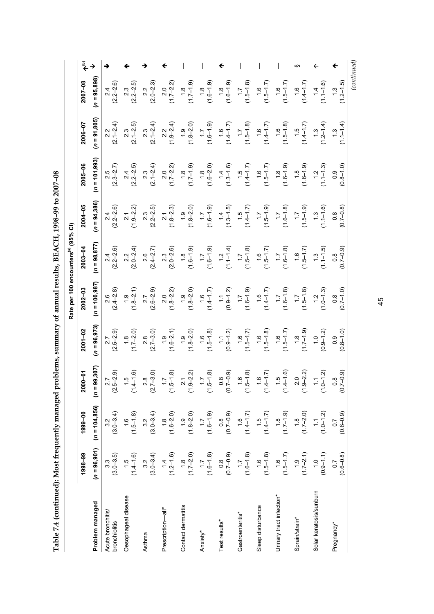| $\frac{1}{2}$                               |
|---------------------------------------------|
| REACH 1998-99 to 2007-08<br>・・・・・・・・・・・・・・・ |
|                                             |
|                                             |
|                                             |
| $\vdots$                                    |
|                                             |
| TESOA LETRURE TO MERITE                     |
|                                             |
|                                             |
|                                             |
|                                             |
|                                             |
| )<br>}                                      |
|                                             |
|                                             |
|                                             |
| <b>.</b><br>.                               |
|                                             |
|                                             |
|                                             |
| ֠                                           |
|                                             |
| I                                           |
|                                             |

|                                    |                                    |                                   |                                              |                                   | Rate per 100 encounters(a) (95% CI) |                                   |                                   |                                |                                |                                |                              |
|------------------------------------|------------------------------------|-----------------------------------|----------------------------------------------|-----------------------------------|-------------------------------------|-----------------------------------|-----------------------------------|--------------------------------|--------------------------------|--------------------------------|------------------------------|
|                                    | 1998-99                            | 1999-00                           | 2000-01                                      | $2001 - 02$                       | $2002 - 03$                         | $2003 - 04$                       | $2004 - 05$                       | 2005-06                        | 2006-07                        | 2007-08                        | $\widehat{\tilde{\epsilon}}$ |
| Problem managed                    | $(n = 96, 901)$                    | $(n = 104, 856)$                  | 99,307)<br>$\bar{a}$                         | $(n = 96, 973)$                   | $(n = 100, 987)$                    | $(n = 98, 877)$                   | $(n = 94, 386)$                   | $= 101,993$<br>S               | $(n = 91, 805)$                | $(n = 95,898)$                 |                              |
| Acute bronchitis/<br>bronchiolitis | $3.3$<br>$(3.0 - 3.5)$             | $3.2$<br>$(3.0-3.4)$              | $(2.5 - 2.9)$                                | $(2.5 - 2.9)$                     | $(2.4 - 2.8)$                       | $(2.2 - 2.6)$                     | $(2.2 - 2.6)$                     | $2.5$<br>(2.3–2.7)             | $(2.1 - 2.4)$                  | $(2.2 - 2.6)$                  |                              |
| Oesophageal disease                | $(1.5$<br>$(1.4-1.6)$              | $(1.5-1.8)$                       | $(1.4 - 1.6)$<br>$\frac{6}{1}$               | $(1.7-2.0)$                       | $(1.8 - 2.1)$<br>$\ddot{6}$         | $(2.0 - 2.4)$                     | $(1.9 - 2.2)$                     | $(2.2 - 2.5)$                  | $(2.1 - 2.5)$                  | $(2.2 - 2.5)$                  |                              |
| Asthma                             | $3.2$<br>(3.0–3.4)                 | $3.2$<br>(3.0–3.4)                | $2.8$<br>$(7-3.0)$<br>$\stackrel{.}{\simeq}$ | $2.8$<br>(2.7–3.0)                | $(2.6 - 2.9)$<br>2.7                | $2.6$<br>$(2.4 - 2.7)$            | $(2.3)$<br>$(2.2-2.5)$            | $2.3$<br>(2.1–2.4)             | $(2.1 - 2.4)$<br>2.3           | $2.2$<br>$(2.0 - 2.3)$         |                              |
| Prescription—all*                  | $(1.2 - 1.6)$                      | $(1.8$<br>$(1.6 - 2.0)$           | $(1.5 - 1.8)$<br>$\ddot{ }$ :                | $(1.6-2.1)$                       | $(1.8-2.2)$                         | $2.3$<br>$(2.0 - 2.6)$            | $(1.8-2.3)$                       | $(1.7-2.2)$                    | $(1.9-2.4)$                    | $(1.7 - 2.2)$                  |                              |
| Contact dermatitis                 | $(1.7 - 2.0)$                      | $(1.8 - 2.0)$                     | $9 - 2.2$<br>$\overline{21}$<br>Ξ            | $(1.8 - 2.0)$                     | $(1.8 - 2.0)$<br>$\ddot{6}$         | $(1.8$<br>$(1.6 - 1.9)$           | $(1.8 - 2.0)$                     | $(1.7 - 1.9)$<br>$\frac{8}{1}$ | $(1.8 - 2.0)$                  | $(1.7 - 1.9)$<br>$\frac{8}{1}$ |                              |
| Anxiety*                           | $(1.6 - 1.8)$                      | $(1.6 - 1.9)$                     | $(1.5 - 1.8)$<br>$\overline{11}$             | $(1.5-1.8)$                       | $(1.4 - 1.7)$<br>$\frac{6}{1}$      | $(1.6 - 1.9)$                     | $(1.6 - 1.9)$                     | $(1.6 - 2.0)$                  | $(1.6 - 1.9)$<br>$\ddot{ }$ :  | $(1.6 - 1.9)$<br>$\frac{8}{1}$ |                              |
| Test results*                      | $(0.7 - 0.9)$                      | $(6.0 - 7.0)$                     | $(0.7 - 0.9)$<br>$\frac{8}{10}$              | $(0.9 - 1.2)$<br>$\tilde{z}$      | $(0.9 - 1.2)$<br>$\frac{1}{1}$      | $1.1 - 1.4$<br>$\ddot{.}$         | $(1.3 - 1.5)$<br>$\frac{4}{1}$    | $(1.3 - 1.6)$<br>$\dot{=}$     | $(1.4 - 1.7)$<br>$\frac{6}{1}$ | $(1.6 - 1.9)$<br>$\frac{8}{1}$ |                              |
| Gastroenteritis*                   | $(1.6-1.8)$                        | $(1.4 - 1.7)$                     | $(1.5 - 1.8)$<br>$\frac{6}{1}$               | $(1.5-1.7)$                       | $(1.6 - 1.9)$<br>$\ddot{ }$ .       | $(1.5 - 1.8)$                     | $(1.4 - 1.7)$<br>$-1.5$           | $(1.4 - 1.7)$                  | $(1.5 - 1.8)$<br>$\ddot{ }$ :  | $(1.5 - 1.8)$<br>$\ddot{ }$ :  |                              |
| Sleep disturbance                  | $(1.5 - 1.8)$                      | $(1.4 - 1.7)$                     | $(1.4 - 1.7)$<br>$\frac{6}{1}$               | $(1.5 - 1.8)$<br>$\frac{6}{1}$    | $(1.1 - 4.7)$<br>$\frac{6}{1}$      | $1.5 - 1.7$<br>$\frac{6}{1}$      | $(1.5 - 1.9)$<br>$\ddot{ }$ :     | $(1.5 - 1.7)$<br>$\frac{6}{1}$ | $(1.4 - 1.7)$<br>$\frac{6}{1}$ | $1.5 - 1.7$<br>$\frac{6}{1}$   |                              |
| Urinary tract infection*           | $(1.5 - 1.7)$                      | $(1.7 - 1.9)$                     | $(1.4 - 1.6)$<br>1.5                         | $(1.5-1.7)$                       | $(1.6 - 1.8)$<br>$\ddot{ }$ :       | $(1.6 - 1.8)$<br>$\ddot{ }$ :     | $(1.6 - 1.8)$<br>$\ddot{ }$ :     | $(1.6 - 1.9)$                  | $(1.5 - 1.8)$<br>$\frac{6}{1}$ | $(1.5 - 1.7)$<br>$\frac{6}{1}$ |                              |
| Sprain/strain*                     | $(1.7-2.1)$                        | $(1.7-2.0)$                       | $9 - 2.2$<br>2.0<br>Ξ                        | $(1.7 - 1.9)$<br>$\frac{8}{1}$    | $(1.5 - 1.8)$<br>$\ddot{ }$ :       | $1.5 - 1.7$<br>$-1.6$             | $(1.5 - 1.9)$<br>$\overline{1.7}$ | $(1.6 - 1.9)$<br>$\frac{8}{1}$ | $(1.4 - 1.7)$<br>$\frac{6}{1}$ | $7.1 + 1.7$<br>$\frac{6}{1}$   | ഗ                            |
| Solar keratosis/sunburn            | $(0.9 - 1.1)$                      | $(1.0 - 1.2)$                     | $(1.0 - 1.2)$<br>$\tilde{\cdot}$             | $(0.9-1.2)$                       | $(1.0 - 1.3)$<br>$\frac{1}{2}$      | $(1.1 - 1.5)$<br>$\ddot{.}$       | $(1.1 - 1.6)$<br>$\ddot{.}$       | $(1.1 - 1.3)$<br>$\ddot{.}$    | $(1.2 - 1.4)$<br>1.3           | $(1.1 - 1.6)$<br>$\dot{4}$     |                              |
| Pregnancy*                         | $(0.6 - 0.8)$<br>$\overline{0}$ .7 | $(0.6 - 0.9)$<br>$\overline{0}$ . | $(0.7 - 0.9)$<br>$\frac{8}{1}$               | $(0.8 - 1.0)$<br>$0.\overline{9}$ | $(0.7 - 1.0)$<br>$\frac{8}{2}$      | $(0.7 - 0.9)$<br>$0.\overline{8}$ | $(0.7 - 0.8)$<br>$\frac{8}{2}$    | $(0.8 - 1.0)$<br>0.9           | $(1.1 - 1.4)$<br>1.3           | $(1.2 - 1.5)$<br>$\ddot{.}$    |                              |

45

 $\left( continued \right)$  *(continued)*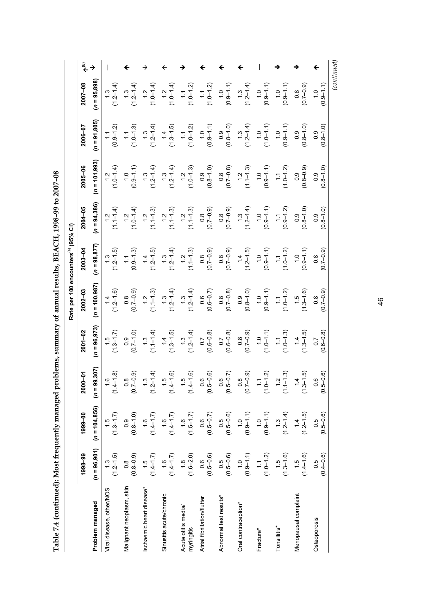Table 7.4 (continued): Most frequently managed problems, summary of annual results, BEACH, 1998-99 to 2007-08 **Table 7.4 (continued): Most frequently managed problems, summary of annual results, BEACH, 1998–99 to 2007–08** 

|                                   |                         |                       |                         |                       | Rate per 100 encounters <sup>(a)</sup> (95% CI) |                       |                       |                                                 |                            |                                 |                              |
|-----------------------------------|-------------------------|-----------------------|-------------------------|-----------------------|-------------------------------------------------|-----------------------|-----------------------|-------------------------------------------------|----------------------------|---------------------------------|------------------------------|
|                                   | 1998-99                 | 1999-00               | 2000-01                 | 2001-02               | $2002 - 03$                                     | $2003 - 04$           | 2004-05               | $2005 - 06$                                     | 2006-07                    | 2007-08                         | $\widehat{\epsilon}^{\rm a}$ |
| Problem managed                   | $(n = 96, 901)$         | $(n = 104, 856)$      | $(n = 99, 307)$         | $(n = 96, 973)$       | $(n = 100, 987)$                                | $(n = 98, 877)$       | $n = 94,386$          | $n = 101,993$                                   | $(n = 91,805)$             | $(n = 95,898)$                  |                              |
| Viral disease, other/NOS          | $(1.3$<br>$(1.2-1.5)$   | $(1.3-1.7)$           | $(1.4 - 1.8)$           | $(1.3-1.7)$           | $(1.2 - 1.6)$                                   | $(1.2 - 1.5)$         | $(1.1 - 1.4)$         | $(1.0-1.4)$                                     | $(0.9 - 1.2)$              | $(1.3$<br>$(1.2-1.4)$           |                              |
| Malignant neoplasm, skin          | $(0.8 - 0.9)$           | $(0.8 - 1.0)$         | $(0.7 - 0.9)$           | $(0.7-1.0)$           | $(0.7 - 0.9)$                                   | $(0.9 - 1.3)$         | $(1.0-1.4)$           | $(0.9 - 1.1)$                                   | $(1.0-1.3)$                | $(1.3$<br>$(1.2-1.4)$           |                              |
| Ischaemic heart disease*          | $(1.5$<br>(1.4–1.7)     | $(1.4 - 1.7)$         | $(1.3$<br>(1.2–1.4)     | $(1.1 - 1.4)$         | $(1.1 - 1.3)$                                   | $(1.4$<br>$(1.2-1.5)$ | $(1.1 - 1.3)$         | $(1.3$<br>$(1.2-1.4)$                           | $(1.3$<br>$(1.2-1.4)$      | $1.0 - 1.4$<br>$\frac{2}{1}$    |                              |
| Sinusitis acute/chronic           | $(1.4 - 1.7)$           | $(1.4 - 1.7)$         | $(1.4 - 1.6)$           | $(1.3 - 1.5)$         | $(1.2 - 1.4)$                                   | $(1.3$<br>$(1.2-1.4)$ | $(1.1 - 1.3)$         | $(1.3$<br>$(1.2-1.4)$                           | $(1.3 - 1.5)$<br>$\dot{z}$ | $1.0 - 1.4$<br>$\ddot{ }$       |                              |
| Acute otitis media/<br>myringitis | $(1.8$<br>$(1.6 - 2.0)$ | $(1.5 - 1.7)$         | $(1.5$<br>$(1.4 - 1.6)$ | $(1.3$<br>$(1.2-1.4)$ | $(1.3$<br>$(1.2-1.4)$                           | $(1.1 - 1.3)$         | $(1.1 - 1.3)$         | $(1.0 - 1.3)$                                   | $(1.0 - 1.2)$              | $(1.0 - 1.2)$                   |                              |
| Atrial fibrillation/flutter       | $(0.5-0.6)$             | $(0.5 - 0.7)$         | ှေ ခု<br>⊙<br>ٻ ہ       | $(0.6 - 0.8)$         | $(0.6 - 0.7)$                                   | $(0.7 - 0.9)$         | $(0.7 - 0.9)$         | $(0.8 - 1.0)$                                   | $(0.9 - 1.1)$              | $1.0 - 1.2$<br>$\tilde{=}$      |                              |
| Abnormal test results*            | $0.5$<br>$(0.5-0.6)$    | $0.5 - 0.6$           | $(0.5 - 0.7)$           | $(0.6 - 0.8)$         | $\begin{array}{c} 0.8 \\ 0.7 - 0.8 \end{array}$ | $(0.8$<br>(0.7–0.9)   | $(6.0 - 2.0)$         | $\begin{array}{c} 0.8 \\ (0.7-0.8) \end{array}$ | $(0.8 - 1.0)$              | $(0.9 - 1.1)$<br>$\frac{0}{1}$  |                              |
| Oral contraception*               | $(0.9 - 1.1)$           | $(0.9 - 1.1)$         | $(0.7 - 0.9)$           | $(6.0 - 2.0)$         | $(0.8 - 1.0)$                                   | $(1.4$<br>$(1.2-1.5)$ | $(1.3$<br>$(1.2-1.4)$ | $(1.1 - 1.3)$                                   | $(1.3$<br>$(1.2-1.4)$      | $(1.2 - 1.4)$<br>$\frac{3}{2}$  |                              |
| Fracture*                         | $(1.0 - 1.2)$           | $(0.9 - 1.1)$         | $(1.0 - 1.2)$           | $(1.0 - 1.1)$         | $(0.9 - 1.1)$                                   | $(0.9 - 1.1)$         | $(0.9 - 1.1)$         | $(0.9 - 1.1)$                                   | $(1.0 - 1.1)$              | $(0.9 - 1.1)$<br>$\frac{0}{1}$  |                              |
| Tonsillitis*                      | $(1.5$<br>$(1.3-1.6)$   | $(1.3$<br>$(1.2-1.4)$ | $(1.1 - 1.3)$           | $(1.0 - 1.3)$         | $(1.0-1.2)$                                     | $(1.0-1.2)$           | $(0.9 - 1.2)$         | $(1.0 - 1.2)$                                   | $(0.9 - 1.1)$              | $(-6.9 - 1.1)$<br>$\frac{0}{1}$ |                              |
| Menopausal complaint              | $(1.4 - 1.6)$           | $(1.4$<br>$(1.2-1.5)$ | $(1.3 - 1.5)$           | $(1.3-1.5)$           | $(1.3 - 1.6)$                                   | $(0.9 - 1.1)$         | $(0.8-1.0)$           | $(0.8 - 0.9)$                                   | $(0.8 - 1.0)$              | $(0.7 - 0.9)$                   |                              |
| Osteoporosis                      | $0.5$<br>$(0.4-0.6)$    | $(0.5 - 0.6)$         | $(0.5 - 0.6)$           | $(0.6 - 0.8)$         | $(6.0 - 7.0)$                                   | $(6.0 - 7.0)$         | $(0.8 - 1.0)$         | $(0.8 - 1.0)$<br>0.9                            | $(0.8 - 1.0)$              | $(0.9 - 1.1)$<br>$\frac{1}{2}$  |                              |

46

*(continued)*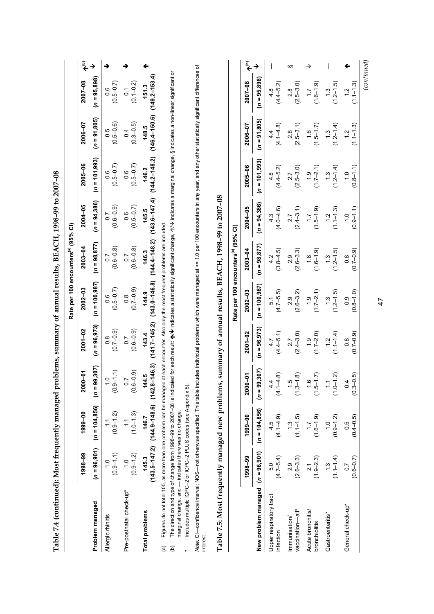|                                                                                                                                                                                                                                                                                                                                                                                                                                        |                                |                                                                                                                                        |                                 |                         |                                               | Rate per 100 encounters <sup>(a)</sup> (95% CI) |                      |                                  |                                 |                                 |                                    |
|----------------------------------------------------------------------------------------------------------------------------------------------------------------------------------------------------------------------------------------------------------------------------------------------------------------------------------------------------------------------------------------------------------------------------------------|--------------------------------|----------------------------------------------------------------------------------------------------------------------------------------|---------------------------------|-------------------------|-----------------------------------------------|-------------------------------------------------|----------------------|----------------------------------|---------------------------------|---------------------------------|------------------------------------|
|                                                                                                                                                                                                                                                                                                                                                                                                                                        | 1998-99                        | 1999-00                                                                                                                                | $000-01$                        | $2001 - 02$             | 2002-03                                       | $2003 - 04$                                     | 2004-05              | 2005-06                          | 2006-07                         | 2007-08                         | $\widehat{\widetilde{\mathbf{e}}}$ |
| Problem managed                                                                                                                                                                                                                                                                                                                                                                                                                        |                                | $(n = 96,901)$ $(n = 104,856)$ $(n = 99,307)$                                                                                          |                                 |                         | $(n = 96,973)$ $(n = 100,987)$ $(n = 98,877)$ |                                                 |                      | $(n = 94, 386)$ $(n = 101, 993)$ | $(n = 91,805)$                  | $(n = 95, 898)$                 |                                    |
| Allergic rhinitis                                                                                                                                                                                                                                                                                                                                                                                                                      | $(0.9 - 1.1)$<br>$\frac{1}{1}$ | $(0.9 - 1.2)$                                                                                                                          | $(0.9 - 1.1)$                   | $(0.7 - 0.9)$<br>8<br>O | $(0.5 - 0.7)$<br>o.o                          | $(0.6 - 0.8)$<br>$\overline{0}$                 | $(0.6 - 0.9)$        | $(0.5 - 0.7)$<br>9.              | $(0.5 - 0.6)$<br>5.O            | $(0.5 - 0.7)$<br>9.G            |                                    |
| Pre-postnatal check-up*                                                                                                                                                                                                                                                                                                                                                                                                                | $(0.9 - 1.2)$<br>$\frac{1}{2}$ | $(1.0 - 1.3)$                                                                                                                          | $(0.6 - 0.9)$<br>$\overline{0}$ | $(0.6 - 0.9)$<br>0.7    | $(0.7 - 0.9)$<br>$\frac{8}{2}$                | $(0.6 - 0.8)$<br>$\overline{0}$ .7              | $(0.5 - 0.7)$<br>o.o | $(0.5 - 0.7)$<br>9.0             | $(0.3 - 0.5)$<br>$\overline{0}$ | $(0.1 - 0.2)$<br>$\overline{0}$ |                                    |
| <b>Total problems</b>                                                                                                                                                                                                                                                                                                                                                                                                                  | 145.3                          | (143.5–147.2) (144.9–148.6) (142.8–146.3) (141.7–145.2) (143.0–146.8) (143.6–147.4) (144.2–148.2) (146.4–150.6) (149.2–153.4)<br>146.7 | 144.5                           | 143.4                   | 144.9                                         | 146.3                                           | 145.5                | 146.2                            | 148.5                           | 151.3                           |                                    |
| The direction and type of change from 1998–99 to 2007–08 is indicated for each result: <b>↑/V</b> indicates a statistically significant change, 个/V indicates a marginal change, § indicates a non-linear significant or<br>Figures do not total 100, as more than one problem can be managed at each encounter. Also only the most frequent problems are included.<br>marginal change, and - indicates there was no change.<br>@<br>ê |                                |                                                                                                                                        |                                 |                         |                                               |                                                 |                      |                                  |                                 |                                 |                                    |

 $\frac{1}{2}$  of appears isometries RFACH 1998-99 to 2007-08 **Table 7.4 (continued): Most frequently managed problems, summary of annual results, BEACH, 1998–99 to 2007–08**  are labels  $Table 7.4 (continued): Most from the$ 

Includes multiple ICPC-2 or ICPC-2 PLUS codes (see Appendix 5). \* Includes multiple ICPC–2 or ICPC–2 PLUS codes (see Appendix 5). marginal change, and - indicates there was no change.  $\ddot{\phantom{0}}$ 

Note: CI—confidence interval; NOS—not otherwise specified. This table includes individual problems which were managed at >= 1.00 encounters in any year, and any other statistically significant differences of Mote: Cl—confidence interval; NOS—not otherwise specified. This table includes individual problems which were managed at >= 1.0 per 100 encounters in any year, and any other statistically significant differences of<br>intere

| $50 - 100$                                                                                                                            |
|---------------------------------------------------------------------------------------------------------------------------------------|
| I                                                                                                                                     |
|                                                                                                                                       |
|                                                                                                                                       |
| I                                                                                                                                     |
| i                                                                                                                                     |
| l                                                                                                                                     |
|                                                                                                                                       |
|                                                                                                                                       |
|                                                                                                                                       |
|                                                                                                                                       |
|                                                                                                                                       |
|                                                                                                                                       |
| <br> -<br> <br> <br> <br> <br> <br>                                                                                                   |
|                                                                                                                                       |
|                                                                                                                                       |
|                                                                                                                                       |
| I                                                                                                                                     |
| l                                                                                                                                     |
|                                                                                                                                       |
|                                                                                                                                       |
|                                                                                                                                       |
|                                                                                                                                       |
|                                                                                                                                       |
| l                                                                                                                                     |
|                                                                                                                                       |
|                                                                                                                                       |
|                                                                                                                                       |
| l                                                                                                                                     |
| ֧֖֧֧֧֧֧֧֧֧֧ׅ֧֧֧֧֧֧֧֧֧֧֧֧֧֧֛֪֛֪֛֛֛֛֛֛֚֚֚֚֚֚֚֚֚֚֚֚֚֚֚֝֝֝֓֝֓֝֬֝֓֝֬֝֓֝֬֝֓֝֬֜֝֬֜֓֝֬֜֝֬֜֝֬֝֬֝֬֝֬֝֬֝֬֜<br>֧֪֧֧֧֧֧֧֧֧֧֛֪֛֚֚֚֚֚֚֚֝֝֝֝֝֬֜֜֝֬֜֜֝ |
| F<br>I                                                                                                                                |

| ۱<br>I<br>∽<br>$(n = 95, 898)$<br>2007-08<br>$(1.6 - 1.9)$<br>$1.1 - 1.3$<br>$(4.4 - 5.2)$<br>$(2.5 - 3.0)$<br>$(1.2 - 1.5)$<br>1.7<br>$\frac{8}{2}$<br>$\ddot{.}$<br>4.8<br>1.2<br>$(n = 91, 805)$<br>2006-07<br>$(4.1 - 4.8)$<br>$(1.2 - 1.4)$<br>$1.1 - 1.3$<br>$(1.5-1.7)$<br>$(2.5 - 3.1)$<br>28<br>2<br>$\frac{3}{2}$<br>$\frac{5}{1}$<br>4.4<br>$(n = 101,993)$<br>2005-06<br>$4.8$<br>$(4.4-5.2)$<br>$(1.7-2.1)$<br>$(1.2 - 1.4)$<br>$2.7$<br>$(2.5-3.0)$<br>$0.8 - 1.1$<br>$\ddot{.}3$<br>$\frac{0}{1}$<br>$(n = 94, 386)$<br>2004-05<br>$(1.5 - 1.9)$<br>$(4.0 - 4.6)$<br>$1.1 - 1.3$<br>$(2.4 - 3.1)$<br>$(1.1 - 6.0)$<br>$\ddot{ }$ :<br>4.3<br>1.2<br>$\frac{0}{1}$<br>$(n = 98, 877)$<br>$(3.8 - 4.5)$<br>$(1.2 - 1.5)$<br>$(2.6 - 3.3)$<br>$(1.8$<br>(1.6–1.9)<br>$(0.7 - 0.9)$<br>$2003 - 04$<br>4.2<br>2.9<br>$\ddot{.}3$<br>0.8<br>$(n = 100, 987)$<br>2002-03<br>$(4.7 - 5.5)$<br>$(1.2 - 1.5)$<br>$(2.6 - 3.2)$<br>$(1.7-2.1)$<br>$(0.8 - 1.0)$<br>0.9<br>$\frac{13}{2}$<br>5.1<br>$\frac{6}{3}$<br>$(n = 96, 973)$<br>2001-02<br>$(1.7-2.0)$<br>$(1.1 - 1.4)$<br>$(6.7 - 0.9)$<br>$(2.4 - 3.0)$<br>$(4.4 - 5.1)$<br>2.7<br>0.8<br>4.7<br>9,307)<br>$(4.1 - 4.8)$<br>$(1.3 - 1.8)$<br>$(1.0 - 1.2)$<br>$-0.5$ )<br>$(1.5 - 1.7)$<br>2000-01<br><u>(၁</u><br>LQ.<br>$\overline{0}$ .3- |                                                                     |  |  | Rate per 100 encounters <sup>(a)</sup> (95% CI) |  |  |  |
|-----------------------------------------------------------------------------------------------------------------------------------------------------------------------------------------------------------------------------------------------------------------------------------------------------------------------------------------------------------------------------------------------------------------------------------------------------------------------------------------------------------------------------------------------------------------------------------------------------------------------------------------------------------------------------------------------------------------------------------------------------------------------------------------------------------------------------------------------------------------------------------------------------------------------------------------------------------------------------------------------------------------------------------------------------------------------------------------------------------------------------------------------------------------------------------------------------------------------------------------------------------------------------------------------------------|---------------------------------------------------------------------|--|--|-------------------------------------------------|--|--|--|
|                                                                                                                                                                                                                                                                                                                                                                                                                                                                                                                                                                                                                                                                                                                                                                                                                                                                                                                                                                                                                                                                                                                                                                                                                                                                                                           | 1999-00<br>1998-99                                                  |  |  |                                                 |  |  |  |
|                                                                                                                                                                                                                                                                                                                                                                                                                                                                                                                                                                                                                                                                                                                                                                                                                                                                                                                                                                                                                                                                                                                                                                                                                                                                                                           | New problem managed $(n = 96,901)$ $(n = 104,856)$ $(n = 9$         |  |  |                                                 |  |  |  |
|                                                                                                                                                                                                                                                                                                                                                                                                                                                                                                                                                                                                                                                                                                                                                                                                                                                                                                                                                                                                                                                                                                                                                                                                                                                                                                           | $(4.1 - 4.9)$<br>4.5<br>$(4.7 - 5.4)$<br>$\frac{0}{5}$              |  |  |                                                 |  |  |  |
|                                                                                                                                                                                                                                                                                                                                                                                                                                                                                                                                                                                                                                                                                                                                                                                                                                                                                                                                                                                                                                                                                                                                                                                                                                                                                                           | $(1.1 - 1.5)$<br>$\frac{3}{1}$<br>$(2.6 - 3.3)$<br>2.9              |  |  |                                                 |  |  |  |
|                                                                                                                                                                                                                                                                                                                                                                                                                                                                                                                                                                                                                                                                                                                                                                                                                                                                                                                                                                                                                                                                                                                                                                                                                                                                                                           | $(1.6 - 1.9)$<br>1.7<br>$(1.9 - 2.3)$<br>ี<br>21                    |  |  |                                                 |  |  |  |
|                                                                                                                                                                                                                                                                                                                                                                                                                                                                                                                                                                                                                                                                                                                                                                                                                                                                                                                                                                                                                                                                                                                                                                                                                                                                                                           | $(0.9 - 1.2)$<br>$\frac{10}{1}$<br>$(1.1 - 1.4)$<br>13              |  |  |                                                 |  |  |  |
|                                                                                                                                                                                                                                                                                                                                                                                                                                                                                                                                                                                                                                                                                                                                                                                                                                                                                                                                                                                                                                                                                                                                                                                                                                                                                                           | $(0.4 - 0.5)$<br>$\frac{5}{2}$<br>$(0.6 - 0.7)$<br>$\overline{0}$ . |  |  |                                                 |  |  |  |

47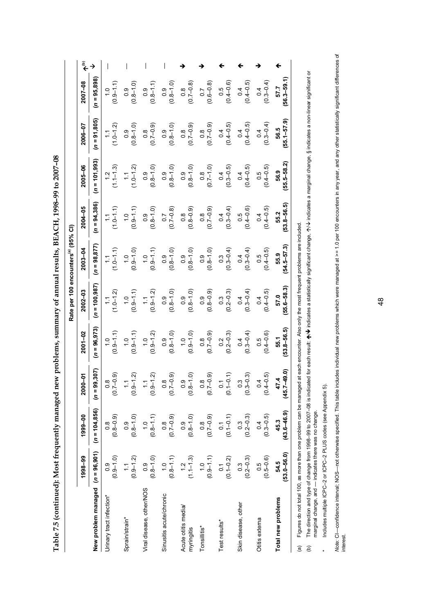| こう ほうらん こうら こうこう しょうしゃ ほう                                 |
|-----------------------------------------------------------|
| $\sim$ $\sim$ $\sim$ $\sim$                               |
|                                                           |
|                                                           |
|                                                           |
|                                                           |
|                                                           |
|                                                           |
|                                                           |
| $\mathbf{I}$                                              |
|                                                           |
|                                                           |
|                                                           |
|                                                           |
|                                                           |
|                                                           |
|                                                           |
|                                                           |
|                                                           |
|                                                           |
|                                                           |
|                                                           |
|                                                           |
|                                                           |
|                                                           |
|                                                           |
|                                                           |
|                                                           |
|                                                           |
| I                                                         |
|                                                           |
|                                                           |
|                                                           |
|                                                           |
|                                                           |
|                                                           |
|                                                           |
| )                                                         |
|                                                           |
| ative to an are in the more completed was have removed to |
|                                                           |
|                                                           |
|                                                           |
|                                                           |
| l                                                         |
|                                                           |
| :<br>;<br>;<br>;                                          |
|                                                           |
|                                                           |
|                                                           |
|                                                           |
| ł                                                         |
|                                                           |
|                                                           |
|                                                           |
|                                                           |
|                                                           |
|                                                           |
|                                                           |
|                                                           |
|                                                           |
|                                                           |
| l<br>l                                                    |

|                                                                                                                                                         |                                                   |                         |                                                   |                                   | Rate per 100 encounters <sup>(a)</sup> (95% CI) |                       |                                 |                                 |                                    |                                   |  |
|---------------------------------------------------------------------------------------------------------------------------------------------------------|---------------------------------------------------|-------------------------|---------------------------------------------------|-----------------------------------|-------------------------------------------------|-----------------------|---------------------------------|---------------------------------|------------------------------------|-----------------------------------|--|
|                                                                                                                                                         | 1998-99                                           | 1999-00                 | $2000 - 01$                                       | 2001-02                           | 2002-03                                         | 2003-04               | 2004-05                         | 2005-06                         | 2006-07                            | 2007-08                           |  |
| New problem managed $(n = 96,901)$                                                                                                                      |                                                   | $(n = 104, 856)$        | $(n = 99, 307)$                                   | $(n = 96, 973)$                   | $(n = 100, 987)$                                | $(n = 98, 877)$       | $(n = 94,386)$                  | $(n = 101, 993)$                | $(n = 91,805)$                     | $(n = 95,898)$                    |  |
| Urinary tract infection*                                                                                                                                | $(0.9 - 1.0)$                                     | $(0.8 - 0.9)$           | $(0.7 - 0.9)$                                     | $(0.9 - 1.1)$                     | $(1.0 - 1.2)$                                   | $1.0 - 1.1$           | $1.0 - 1.1$<br>$\frac{1}{2}$    | $1.2$<br>$(1.1-1.3)$            | $(1.0 - 1.2)$                      | $(0.9 - 1.1)$                     |  |
| Sprain/strain*                                                                                                                                          | $(0.9-1.2)$                                       | $(0.8 - 1.0)$           | $(0.9 - 1.2)$                                     | $(0.9 - 1.1)$                     | $(0.9 - 1.1)$<br>$\frac{0}{1}$                  | $(0.9 - 1.0)$         | $(0.9 - 1.1)$<br>$\ddot{c}$     | $(1.0-1.2)$                     | $(0.8 - 1.0)$<br>$\ddot{\circ}$    | $(0.8 - 1.0)$<br>$0.\overline{9}$ |  |
| Viral disease, other/NOS                                                                                                                                | $(0.8 - 1.0)$                                     | $(0.8 - 1.1)$           | $(0.9-1.2)$                                       | $(0.9-1.2)$                       | $(0.9 - 1.2)$<br>$\ddot{\cdot}$                 | $(0.9 - 1.1)$         | $(0.8 - 1.0)$                   | $(0.8-1.0)$                     | $(0.8$<br>(0.7-0.9)                | $(0.8 - 1.1)$<br>0.9              |  |
| Sinusitis acute/chronic                                                                                                                                 | $(0.8 - 1.1)$                                     | $(0.7 - 0.9)$           | $(6.0 - 7.0)$                                     | $(0.8-1.0)$                       | $(0.8 - 1.0)$<br>$\overline{0}$ .               | $(0.8 - 1.0)$         | $(0.7 - 0.8)$<br>$\overline{C}$ | $(0.8 - 1.0)$                   | $(0.8 - 1.0)$<br>$\overline{6}$ .0 | $(0.8 - 1.0)$                     |  |
| Acute otitis media<br>myringitis                                                                                                                        | $(1.1 - 1.3)$                                     | $(0.8 - 1.0)$<br>0.9    | $(0.8 - 1.0)$                                     | $(0.9 - 1.0)$                     | $(0.8 - 1.0)$                                   | $(0.8 - 1.0)$         | $(0.8 - 0.9)$                   | $(0.8 - 1.0)$                   | $(6.0 - 7.0)$                      | $(0.8$<br>(0.7-0.8)               |  |
| Tonsillitis*                                                                                                                                            | $(0.9 - 1.1)$                                     | $(0.7 - 0.9)$           | $(0.7 - 0.9)$                                     | $(6.0 - 7.0)$                     | $(0.8 - 0.9)$                                   | $(0.8 - 1.0)$         | $(6.0 - 7.0)$                   | $(0.7-1.0)$                     | $(6.0 - 7.0)$                      | $(0.6 - 0.8)$                     |  |
| Test results*                                                                                                                                           | $0.1$<br>(0.1-0.2)                                | $0.1$<br>(0.1-0.1)      | $(0.1 - 0.1)$<br>$\overline{c}$                   | $0.2$<br>(0.2–0.3)                | $(0.3$<br>$(0.2 - 0.3)$                         | $(0.3 - 0.4)$         | $(0.3 - 0.4)$                   | $(0.3 - 0.5)$<br>0.4            | $(0.4 - 0.5)$                      | $0.5$<br>$(0.4 - 0.6)$            |  |
| Skin disease, other                                                                                                                                     | $\begin{array}{c} 0.3 \\ (0.2 - 0.3) \end{array}$ | $(0.3)$<br>$(0.2-0.3)$  | $\begin{array}{c} 0.3 \\ (0.3 - 0.3) \end{array}$ | $0.4$<br>(0.3–0.4)                | $(0.3 - 0.4)$                                   | $(0.3 - 0.4)$         | $0.5$<br>$(0.4 - 0.6)$          | $(0.4 - 0.5)$<br>$\overline{0}$ | $(0.4 - 0.5)$<br>0.4               | $0.4$<br>(0.4–0.5)                |  |
| Otitis externa                                                                                                                                          | $(0.5 - 0.6)$<br>0.5                              | $(0.3 - 0.5)$<br>0.4    | $(0.4 - 0.5)$<br>$\dot{\circ}$                    | $(0.4 - 0.6)$<br>$0.\overline{5}$ | $(0.4 - 0.5)$<br>0.4                            | $0.5$<br>(0.4–0.5)    | $(0.4 - 0.5)$<br>$\overline{6}$ | $(0.4 - 0.5)$<br>0.5            | $(0.3 - 0.4)$<br>0.4               | $(0.3 - 0.4)$                     |  |
| Total new problems                                                                                                                                      | $(53.0 - 56.0)$<br>54.5                           | $(43.6 - 46.9)$<br>45.3 | $(45.7 - 49.0)$<br>47.4                           | $53.8 - 56.5$<br>55.1             | 55.6-58.3)<br>57.0                              | $54.5 - 57.3$<br>55.9 | $53.8 - 56.5$<br>55.2           | 55.5-58.2)<br>56.9              | $55.1 - 57.9$<br>56.5              | $56.3 - 59.1$<br>57.7             |  |
| Figures do not total 100, as more than one problem can be managed at each encounter. Also only the most frequent problems are included<br>$\widehat{a}$ |                                                   |                         |                                                   |                                   |                                                 |                       |                                 |                                 |                                    |                                   |  |

The direction and type of change from 1998–99 to 2007–08 is indicated for each result. ★/♦ indicates a statistically significant change, A/♦ indicates a marginal change, § indicates a non-linear significant or<br>marginal ch  $\bm{\psi}$  indicates a statistically significant change,  $\bm{\gamma}\bm{\vee}$  indicates a marginal change, § indicates a non-linear significant or (b) The direction and type of change from 1998–99 to 2007–08 is indicated for each result:  $\spadesuit$ marginal change, and — indicates there was no change.  $\Theta$ 

Includes multiple ICPC-2 or ICPC-2 PLUS codes (see Appendix 5). \* Includes multiple ICPC–2 or ICPC–2 PLUS codes (see Appendix 5).  $\ddot{\phantom{1}}$ 

Mote: Cl—confidence interval; NOS—not otherwise specified. This table includes individual new problems which were managed at >= 1.0 per 100 encounters in any year, and any other statistically significant differences of<br>in Note: Cl—confidence interval; NOS—not otherwise specified. This table includes individual new problems which were managed at >= 1.0 per 100 encounters in any year, and any other statistically significant differences of interest.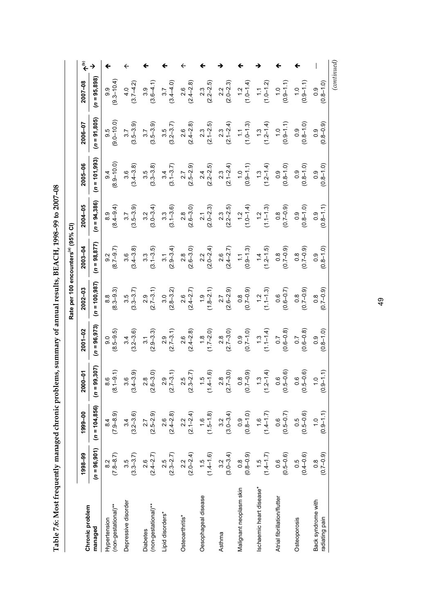Table 7.6: Most frequently managed chronic problems, summary of annual results, BEACH, 1998-99 to 2007-08 **Table 7.6: Most frequently managed chronic problems, summary of annual results, BEACH, 1998–99 to 2007–08** 

|                                        |                                                   |                                |                                                    |                      | Rate per 100 encounters <sup>(a)</sup> (95% CI) |                                                   |                        |                             |                        |                                |  |
|----------------------------------------|---------------------------------------------------|--------------------------------|----------------------------------------------------|----------------------|-------------------------------------------------|---------------------------------------------------|------------------------|-----------------------------|------------------------|--------------------------------|--|
| Chronic problem                        | 1998-99                                           | 1999-00                        | $-01$<br>$\frac{8}{2}$                             | 2001-02              | 2002-03                                         | 2003-04                                           | 2004-05                | 2005-06                     | 2006-07                | 2007-08                        |  |
| managed                                | $(n = 96, 901)$                                   | $(n = 104, 856)$               | $(n = 99, 307)$                                    | $(n = 96, 973)$      | $(n = 100, 987)$                                | $(n = 98, 877)$                                   | $(n = 94, 386)$        | $(n = 101,993)$             | $(n = 91,805)$         | $(n = 95,898)$                 |  |
| (non-gestational)**<br>Hypertension    | $\begin{array}{c} 8.2 \\ (7.8 - 8.7) \end{array}$ | $(7.9 - 8.9)$                  | $\begin{array}{c} 8.6 \\ 1 - 9.1 \end{array}$<br>ۊ | $(8.5 - 9.5)$        | $(8.3 - 9.3)$                                   | $(8.7 - 9.7)$                                     | $(8.4 - 9.4)$          | $(8.9 - 10.0)$              | $9.5$<br>$(9.0-10.0)$  | $(9.3 - 10.4)$<br>9.9          |  |
| Depressive disorder                    | $(3.3 - 3.7)$                                     | $3.4$<br>(3.2-3.6)             | $3.6$<br>$(-3.9)$<br>(3.4                          | $3.4$<br>(3.2–3.6)   | $(3.3 - 3.7)$                                   | $(3.4 - 3.8)$                                     | $3.7$<br>$(3.5-3.9)$   | $(3.4 - 3.8)$               | $3.7$<br>$(3.5-3.9)$   | $4.0$<br>(3.7–4.2)             |  |
| (non-gestational)**<br><b>Diabetes</b> | $2.6$<br>$(2.4 - 2.7)$                            | $2.7$<br>$(2.5-2.9)$           | $2.8$<br>6-3.0)<br>(2.6)                           | $(2.9 - 3.3)$        | $(2.7-3.1)$                                     | $3.3$<br>(3.1–3.5)                                | $3.2$<br>(3.0–3.4)     | $3.5$<br>$(3.3-3.8)$        | $3.7$<br>$(3.5 - 3.9)$ | $(3.6-4.1)$                    |  |
| Lipid disorders*                       | $(2.3 - 2.7)$                                     | $(2.4 - 2.8)$                  | $2.9$<br>7-3.1)<br>(2.7)                           | $(2.7 - 3.1)$        | $(2.8 - 3.2)$                                   | $\begin{array}{c} 3.1 \\ (2.9 - 3.4) \end{array}$ | $(3.1 - 3.6)$          | $3.4$<br>(3.1–3.7)          | $3.5$<br>(3.2–3.7)     | $(3.4 - 4.0)$                  |  |
| Osteoarthritis*                        | $2.2$<br>(2.0–2.4)                                | $2.2$<br>(2.1–2.4)             | $2.5$<br>$-2.7$<br>$\frac{3}{2}$                   | $(2.4 - 2.8)$        | $2.6$<br>$(2.4 - 2.7)$                          | $2.8$<br>$(2.6-3.0)$                              | $(2.8)$<br>$(2.6-3.0)$ | $2.7$<br>(2.5–2.9)          | $(2.4 - 2.8)$          | $\frac{2.6}{(2.4 - 2.8)}$      |  |
| Oesophageal disease                    | $(1.5$<br>$(1.4 - 1.6)$                           | $(1.5 - 1.8)$                  | $-1.6$<br>ro.<br>।<br>न                            | $(1.7 - 2.0)$        | $(1.8 - 2.1)$                                   | $(2.0-2.4)$                                       | $(2.0 - 2.3)$          | $(2.2 - 2.5)$               | $2.3$<br>(2.1–2.5)     | $(2.2 - 2.5)$                  |  |
| Asthma                                 | $3.2$<br>(3.0–3.4)                                | $3.2$<br>(3.0–3.4)             | $\frac{2.8}{7-3.0}$<br>$\overline{2.7}$            | $2.8$<br>(2.7–3.0)   | $2.7$<br>$(2.6 - 2.9)$                          | $2.6$<br>(2.4–2.7)                                | $2.3$<br>(2.2–2.5)     | $2.3$<br>(2.1–2.4)          | $(2.1 - 2.4)$          | $(2.0 - 2.3)$                  |  |
| Malignant neoplasm skin                | $(0.8 - 0.9)$                                     | $(0.8-1.0)$                    | $(6.0 - 0.0)$<br>$\leq$                            | $(0.7-1.0)$          | $(0.7 - 0.9)$                                   | $(0.9 - 1.3)$                                     | $(1.0-1.4)$            | $(0.9 - 1.1)$               | $(1.0 - 1.3)$          | $(1.2$<br>$(1.0-1.4)$          |  |
| schaemic heart disease*                | $(1.5$<br>(1.4–1.7)                               | $(1.4 - 1.7)$                  | $\frac{9}{11}$<br>い<br>こ                           | $(1.1 - 1.4)$        | $(1.1 - 1.3)$                                   | $(1.4$<br>$(1.2-1.5)$                             | $(1.1 - 1.3)$          | $(1.3$<br>$(1.2-1.4)$       | $(1.3$<br>$(1.2-1.4)$  | $(1.0-1.2)$                    |  |
| Atrial fibrillation/flutter            | $(0.5 - 0.6)$                                     | $(0.5 - 0.7)$                  | $0.6$<br>$-0.6$ )<br>$\frac{10}{2}$                | $(0.6 - 0.8)$        | $(0.6 - 0.7)$                                   | $(0.7 - 0.9)$                                     | $(6.0 - 2.0)$          | $(0.8 - 1.0)$               | $(0.9 - 1.1)$          | $(0.9 - 1.1)$                  |  |
| Osteoporosis                           | $(0.5$<br>$(0.4 - 0.6)$                           | $(0.5 - 0.6)$                  | $-0.6$<br>$0.\overline{6}$<br>$\frac{10}{2}$       | $(0.6 - 0.8)$        | $(0.5 - 0.9)$                                   | $(0.7-0.9)$                                       | $(0.8 - 1.0)$          | $(0.8 - 1.0)$               | $(0.8 - 1.0)$          | $(0.9 - 1.1)$                  |  |
| Back syndrome with<br>radiating pain   | $(0.7 - 0.9)$<br>$\frac{8}{1}$                    | $(0.9 - 1.1)$<br>$\frac{0}{1}$ | $\frac{1}{2}$<br>$\frac{6}{2}$                     | $(0.8 - 1.0)$<br>0.9 | $(6.0 - 2.0)$                                   | $0.8 - 1.0$<br>$\frac{0}{2}$                      | $(1.1 - 8 - 0)$<br>0.9 | $0.8 - 1.0$<br>$\ddot{0}$ . | $(0.8 - 0.9)$          | $(0.8 - 1.0)$<br>$\frac{0}{2}$ |  |
|                                        |                                                   |                                |                                                    |                      |                                                 |                                                   |                        |                             |                        | (continued)                    |  |

49